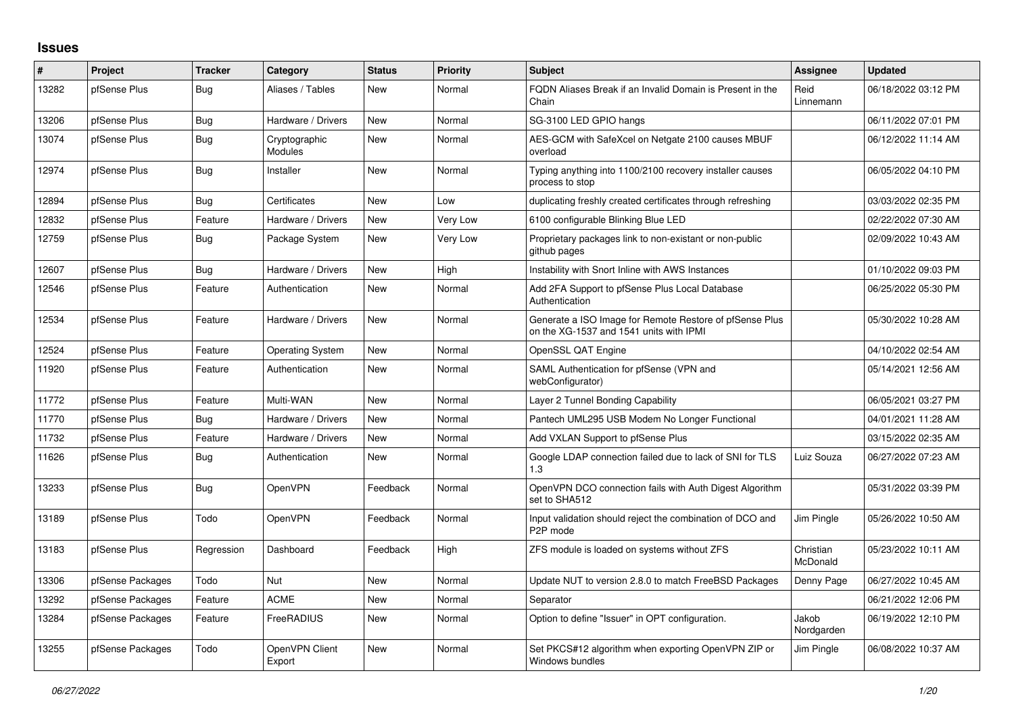## **Issues**

| ∦     | <b>Project</b>   | <b>Tracker</b> | Category                        | <b>Status</b> | <b>Priority</b> | <b>Subject</b>                                                                                     | <b>Assignee</b>       | <b>Updated</b>      |
|-------|------------------|----------------|---------------------------------|---------------|-----------------|----------------------------------------------------------------------------------------------------|-----------------------|---------------------|
| 13282 | pfSense Plus     | Bug            | Aliases / Tables                | New           | Normal          | FQDN Aliases Break if an Invalid Domain is Present in the<br>Chain                                 | Reid<br>Linnemann     | 06/18/2022 03:12 PM |
| 13206 | pfSense Plus     | Bug            | Hardware / Drivers              | <b>New</b>    | Normal          | SG-3100 LED GPIO hangs                                                                             |                       | 06/11/2022 07:01 PM |
| 13074 | pfSense Plus     | <b>Bug</b>     | Cryptographic<br><b>Modules</b> | <b>New</b>    | Normal          | AES-GCM with SafeXcel on Netgate 2100 causes MBUF<br>overload                                      |                       | 06/12/2022 11:14 AM |
| 12974 | pfSense Plus     | Bug            | Installer                       | <b>New</b>    | Normal          | Typing anything into 1100/2100 recovery installer causes<br>process to stop                        |                       | 06/05/2022 04:10 PM |
| 12894 | pfSense Plus     | Bug            | Certificates                    | <b>New</b>    | Low             | duplicating freshly created certificates through refreshing                                        |                       | 03/03/2022 02:35 PM |
| 12832 | pfSense Plus     | Feature        | Hardware / Drivers              | <b>New</b>    | Very Low        | 6100 configurable Blinking Blue LED                                                                |                       | 02/22/2022 07:30 AM |
| 12759 | pfSense Plus     | Bug            | Package System                  | New           | Very Low        | Proprietary packages link to non-existant or non-public<br>github pages                            |                       | 02/09/2022 10:43 AM |
| 12607 | pfSense Plus     | Bug            | Hardware / Drivers              | <b>New</b>    | High            | Instability with Snort Inline with AWS Instances                                                   |                       | 01/10/2022 09:03 PM |
| 12546 | pfSense Plus     | Feature        | Authentication                  | <b>New</b>    | Normal          | Add 2FA Support to pfSense Plus Local Database<br>Authentication                                   |                       | 06/25/2022 05:30 PM |
| 12534 | pfSense Plus     | Feature        | Hardware / Drivers              | <b>New</b>    | Normal          | Generate a ISO Image for Remote Restore of pfSense Plus<br>on the XG-1537 and 1541 units with IPMI |                       | 05/30/2022 10:28 AM |
| 12524 | pfSense Plus     | Feature        | <b>Operating System</b>         | <b>New</b>    | Normal          | OpenSSL QAT Engine                                                                                 |                       | 04/10/2022 02:54 AM |
| 11920 | pfSense Plus     | Feature        | Authentication                  | <b>New</b>    | Normal          | SAML Authentication for pfSense (VPN and<br>webConfigurator)                                       |                       | 05/14/2021 12:56 AM |
| 11772 | pfSense Plus     | Feature        | Multi-WAN                       | <b>New</b>    | Normal          | Layer 2 Tunnel Bonding Capability                                                                  |                       | 06/05/2021 03:27 PM |
| 11770 | pfSense Plus     | Bug            | Hardware / Drivers              | New           | Normal          | Pantech UML295 USB Modem No Longer Functional                                                      |                       | 04/01/2021 11:28 AM |
| 11732 | pfSense Plus     | Feature        | Hardware / Drivers              | <b>New</b>    | Normal          | Add VXLAN Support to pfSense Plus                                                                  |                       | 03/15/2022 02:35 AM |
| 11626 | pfSense Plus     | <b>Bug</b>     | Authentication                  | <b>New</b>    | Normal          | Google LDAP connection failed due to lack of SNI for TLS<br>1.3                                    | Luiz Souza            | 06/27/2022 07:23 AM |
| 13233 | pfSense Plus     | <b>Bug</b>     | OpenVPN                         | Feedback      | Normal          | OpenVPN DCO connection fails with Auth Digest Algorithm<br>set to SHA512                           |                       | 05/31/2022 03:39 PM |
| 13189 | pfSense Plus     | Todo           | OpenVPN                         | Feedback      | Normal          | Input validation should reject the combination of DCO and<br>P <sub>2</sub> P mode                 | Jim Pingle            | 05/26/2022 10:50 AM |
| 13183 | pfSense Plus     | Regression     | Dashboard                       | Feedback      | High            | ZFS module is loaded on systems without ZFS                                                        | Christian<br>McDonald | 05/23/2022 10:11 AM |
| 13306 | pfSense Packages | Todo           | <b>Nut</b>                      | New           | Normal          | Update NUT to version 2.8.0 to match FreeBSD Packages                                              | Denny Page            | 06/27/2022 10:45 AM |
| 13292 | pfSense Packages | Feature        | <b>ACME</b>                     | <b>New</b>    | Normal          | Separator                                                                                          |                       | 06/21/2022 12:06 PM |
| 13284 | pfSense Packages | Feature        | FreeRADIUS                      | <b>New</b>    | Normal          | Option to define "Issuer" in OPT configuration.                                                    | Jakob<br>Nordgarden   | 06/19/2022 12:10 PM |
| 13255 | pfSense Packages | Todo           | OpenVPN Client<br>Export        | <b>New</b>    | Normal          | Set PKCS#12 algorithm when exporting OpenVPN ZIP or<br>Windows bundles                             | Jim Pingle            | 06/08/2022 10:37 AM |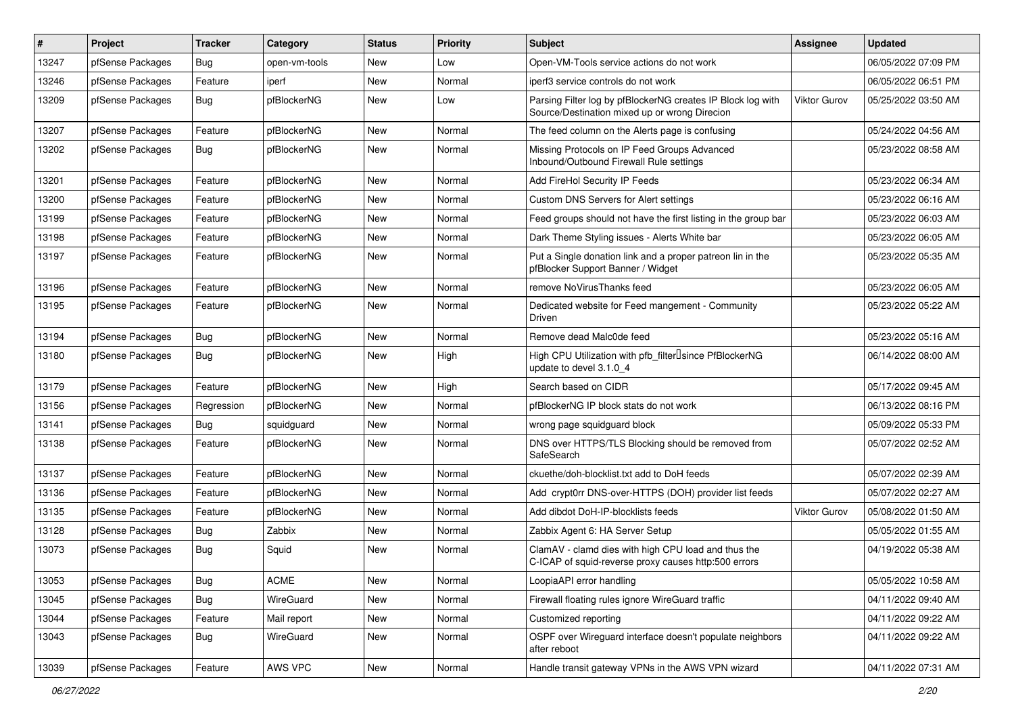| #     | Project          | <b>Tracker</b> | Category      | <b>Status</b> | <b>Priority</b> | <b>Subject</b>                                                                                               | Assignee            | <b>Updated</b>      |
|-------|------------------|----------------|---------------|---------------|-----------------|--------------------------------------------------------------------------------------------------------------|---------------------|---------------------|
| 13247 | pfSense Packages | <b>Bug</b>     | open-vm-tools | New           | Low             | Open-VM-Tools service actions do not work                                                                    |                     | 06/05/2022 07:09 PM |
| 13246 | pfSense Packages | Feature        | iperf         | <b>New</b>    | Normal          | iperf3 service controls do not work                                                                          |                     | 06/05/2022 06:51 PM |
| 13209 | pfSense Packages | <b>Bug</b>     | pfBlockerNG   | New           | Low             | Parsing Filter log by pfBlockerNG creates IP Block log with<br>Source/Destination mixed up or wrong Direcion | Viktor Gurov        | 05/25/2022 03:50 AM |
| 13207 | pfSense Packages | Feature        | pfBlockerNG   | <b>New</b>    | Normal          | The feed column on the Alerts page is confusing                                                              |                     | 05/24/2022 04:56 AM |
| 13202 | pfSense Packages | Bug            | pfBlockerNG   | New           | Normal          | Missing Protocols on IP Feed Groups Advanced<br>Inbound/Outbound Firewall Rule settings                      |                     | 05/23/2022 08:58 AM |
| 13201 | pfSense Packages | Feature        | pfBlockerNG   | <b>New</b>    | Normal          | Add FireHol Security IP Feeds                                                                                |                     | 05/23/2022 06:34 AM |
| 13200 | pfSense Packages | Feature        | pfBlockerNG   | New           | Normal          | Custom DNS Servers for Alert settings                                                                        |                     | 05/23/2022 06:16 AM |
| 13199 | pfSense Packages | Feature        | pfBlockerNG   | New           | Normal          | Feed groups should not have the first listing in the group bar                                               |                     | 05/23/2022 06:03 AM |
| 13198 | pfSense Packages | Feature        | pfBlockerNG   | New           | Normal          | Dark Theme Styling issues - Alerts White bar                                                                 |                     | 05/23/2022 06:05 AM |
| 13197 | pfSense Packages | Feature        | pfBlockerNG   | New           | Normal          | Put a Single donation link and a proper patreon lin in the<br>pfBlocker Support Banner / Widget              |                     | 05/23/2022 05:35 AM |
| 13196 | pfSense Packages | Feature        | pfBlockerNG   | New           | Normal          | remove NoVirusThanks feed                                                                                    |                     | 05/23/2022 06:05 AM |
| 13195 | pfSense Packages | Feature        | pfBlockerNG   | New           | Normal          | Dedicated website for Feed mangement - Community<br>Driven                                                   |                     | 05/23/2022 05:22 AM |
| 13194 | pfSense Packages | Bug            | pfBlockerNG   | <b>New</b>    | Normal          | Remove dead Malc0de feed                                                                                     |                     | 05/23/2022 05:16 AM |
| 13180 | pfSense Packages | <b>Bug</b>     | pfBlockerNG   | <b>New</b>    | High            | High CPU Utilization with pfb_filter <sup>[]</sup> since PfBlockerNG<br>update to devel 3.1.0 4              |                     | 06/14/2022 08:00 AM |
| 13179 | pfSense Packages | Feature        | pfBlockerNG   | <b>New</b>    | High            | Search based on CIDR                                                                                         |                     | 05/17/2022 09:45 AM |
| 13156 | pfSense Packages | Regression     | pfBlockerNG   | New           | Normal          | pfBlockerNG IP block stats do not work                                                                       |                     | 06/13/2022 08:16 PM |
| 13141 | pfSense Packages | Bug            | squidguard    | New           | Normal          | wrong page squidguard block                                                                                  |                     | 05/09/2022 05:33 PM |
| 13138 | pfSense Packages | Feature        | pfBlockerNG   | New           | Normal          | DNS over HTTPS/TLS Blocking should be removed from<br>SafeSearch                                             |                     | 05/07/2022 02:52 AM |
| 13137 | pfSense Packages | Feature        | pfBlockerNG   | New           | Normal          | ckuethe/doh-blocklist.txt add to DoH feeds                                                                   |                     | 05/07/2022 02:39 AM |
| 13136 | pfSense Packages | Feature        | pfBlockerNG   | New           | Normal          | Add crypt0rr DNS-over-HTTPS (DOH) provider list feeds                                                        |                     | 05/07/2022 02:27 AM |
| 13135 | pfSense Packages | Feature        | pfBlockerNG   | New           | Normal          | Add dibdot DoH-IP-blocklists feeds                                                                           | <b>Viktor Gurov</b> | 05/08/2022 01:50 AM |
| 13128 | pfSense Packages | Bug            | Zabbix        | New           | Normal          | Zabbix Agent 6: HA Server Setup                                                                              |                     | 05/05/2022 01:55 AM |
| 13073 | pfSense Packages | <b>Bug</b>     | Squid         | New           | Normal          | ClamAV - clamd dies with high CPU load and thus the<br>C-ICAP of squid-reverse proxy causes http:500 errors  |                     | 04/19/2022 05:38 AM |
| 13053 | pfSense Packages | <b>Bug</b>     | <b>ACME</b>   | New           | Normal          | LoopiaAPI error handling                                                                                     |                     | 05/05/2022 10:58 AM |
| 13045 | pfSense Packages | Bug            | WireGuard     | New           | Normal          | Firewall floating rules ignore WireGuard traffic                                                             |                     | 04/11/2022 09:40 AM |
| 13044 | pfSense Packages | Feature        | Mail report   | New           | Normal          | Customized reporting                                                                                         |                     | 04/11/2022 09:22 AM |
| 13043 | pfSense Packages | Bug            | WireGuard     | New           | Normal          | OSPF over Wireguard interface doesn't populate neighbors<br>after reboot                                     |                     | 04/11/2022 09:22 AM |
| 13039 | pfSense Packages | Feature        | AWS VPC       | New           | Normal          | Handle transit gateway VPNs in the AWS VPN wizard                                                            |                     | 04/11/2022 07:31 AM |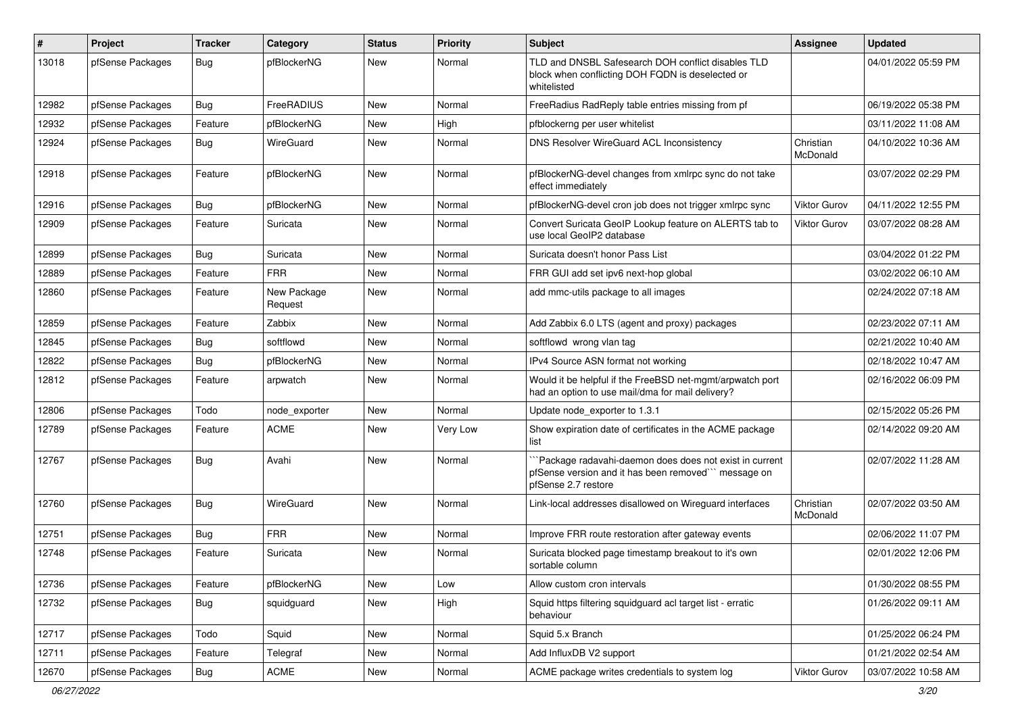| #     | Project          | <b>Tracker</b> | Category               | <b>Status</b> | <b>Priority</b> | <b>Subject</b>                                                                                                                        | <b>Assignee</b>       | <b>Updated</b>      |
|-------|------------------|----------------|------------------------|---------------|-----------------|---------------------------------------------------------------------------------------------------------------------------------------|-----------------------|---------------------|
| 13018 | pfSense Packages | Bug            | pfBlockerNG            | <b>New</b>    | Normal          | TLD and DNSBL Safesearch DOH conflict disables TLD<br>block when conflicting DOH FQDN is deselected or<br>whitelisted                 |                       | 04/01/2022 05:59 PM |
| 12982 | pfSense Packages | <b>Bug</b>     | FreeRADIUS             | <b>New</b>    | Normal          | FreeRadius RadReply table entries missing from pf                                                                                     |                       | 06/19/2022 05:38 PM |
| 12932 | pfSense Packages | Feature        | pfBlockerNG            | New           | High            | pfblockerng per user whitelist                                                                                                        |                       | 03/11/2022 11:08 AM |
| 12924 | pfSense Packages | <b>Bug</b>     | WireGuard              | New           | Normal          | DNS Resolver WireGuard ACL Inconsistency                                                                                              | Christian<br>McDonald | 04/10/2022 10:36 AM |
| 12918 | pfSense Packages | Feature        | pfBlockerNG            | <b>New</b>    | Normal          | pfBlockerNG-devel changes from xmlrpc sync do not take<br>effect immediately                                                          |                       | 03/07/2022 02:29 PM |
| 12916 | pfSense Packages | <b>Bug</b>     | pfBlockerNG            | <b>New</b>    | Normal          | pfBlockerNG-devel cron job does not trigger xmlrpc sync                                                                               | <b>Viktor Gurov</b>   | 04/11/2022 12:55 PM |
| 12909 | pfSense Packages | Feature        | Suricata               | <b>New</b>    | Normal          | Convert Suricata GeoIP Lookup feature on ALERTS tab to<br>use local GeoIP2 database                                                   | Viktor Gurov          | 03/07/2022 08:28 AM |
| 12899 | pfSense Packages | Bug            | Suricata               | New           | Normal          | Suricata doesn't honor Pass List                                                                                                      |                       | 03/04/2022 01:22 PM |
| 12889 | pfSense Packages | Feature        | <b>FRR</b>             | New           | Normal          | FRR GUI add set ipv6 next-hop global                                                                                                  |                       | 03/02/2022 06:10 AM |
| 12860 | pfSense Packages | Feature        | New Package<br>Request | New           | Normal          | add mmc-utils package to all images                                                                                                   |                       | 02/24/2022 07:18 AM |
| 12859 | pfSense Packages | Feature        | Zabbix                 | New           | Normal          | Add Zabbix 6.0 LTS (agent and proxy) packages                                                                                         |                       | 02/23/2022 07:11 AM |
| 12845 | pfSense Packages | <b>Bug</b>     | softflowd              | <b>New</b>    | Normal          | softflowd wrong vlan tag                                                                                                              |                       | 02/21/2022 10:40 AM |
| 12822 | pfSense Packages | Bug            | pfBlockerNG            | New           | Normal          | IPv4 Source ASN format not working                                                                                                    |                       | 02/18/2022 10:47 AM |
| 12812 | pfSense Packages | Feature        | arpwatch               | <b>New</b>    | Normal          | Would it be helpful if the FreeBSD net-mgmt/arpwatch port<br>had an option to use mail/dma for mail delivery?                         |                       | 02/16/2022 06:09 PM |
| 12806 | pfSense Packages | Todo           | node_exporter          | New           | Normal          | Update node_exporter to 1.3.1                                                                                                         |                       | 02/15/2022 05:26 PM |
| 12789 | pfSense Packages | Feature        | <b>ACME</b>            | New           | Very Low        | Show expiration date of certificates in the ACME package<br>list                                                                      |                       | 02/14/2022 09:20 AM |
| 12767 | pfSense Packages | <b>Bug</b>     | Avahi                  | New           | Normal          | `Package radavahi-daemon does does not exist in current<br>pfSense version and it has been removed" message on<br>pfSense 2.7 restore |                       | 02/07/2022 11:28 AM |
| 12760 | pfSense Packages | Bug            | WireGuard              | <b>New</b>    | Normal          | Link-local addresses disallowed on Wireguard interfaces                                                                               | Christian<br>McDonald | 02/07/2022 03:50 AM |
| 12751 | pfSense Packages | <b>Bug</b>     | <b>FRR</b>             | New           | Normal          | Improve FRR route restoration after gateway events                                                                                    |                       | 02/06/2022 11:07 PM |
| 12748 | pfSense Packages | Feature        | Suricata               | <b>New</b>    | Normal          | Suricata blocked page timestamp breakout to it's own<br>sortable column                                                               |                       | 02/01/2022 12:06 PM |
| 12736 | pfSense Packages | Feature        | pfBlockerNG            | New           | Low             | Allow custom cron intervals                                                                                                           |                       | 01/30/2022 08:55 PM |
| 12732 | pfSense Packages | <b>Bug</b>     | squidguard             | New           | High            | Squid https filtering squidguard acl target list - erratic<br>behaviour                                                               |                       | 01/26/2022 09:11 AM |
| 12717 | pfSense Packages | Todo           | Squid                  | New           | Normal          | Squid 5.x Branch                                                                                                                      |                       | 01/25/2022 06:24 PM |
| 12711 | pfSense Packages | Feature        | Telegraf               | New           | Normal          | Add InfluxDB V2 support                                                                                                               |                       | 01/21/2022 02:54 AM |
| 12670 | pfSense Packages | <b>Bug</b>     | <b>ACME</b>            | New           | Normal          | ACME package writes credentials to system log                                                                                         | Viktor Gurov          | 03/07/2022 10:58 AM |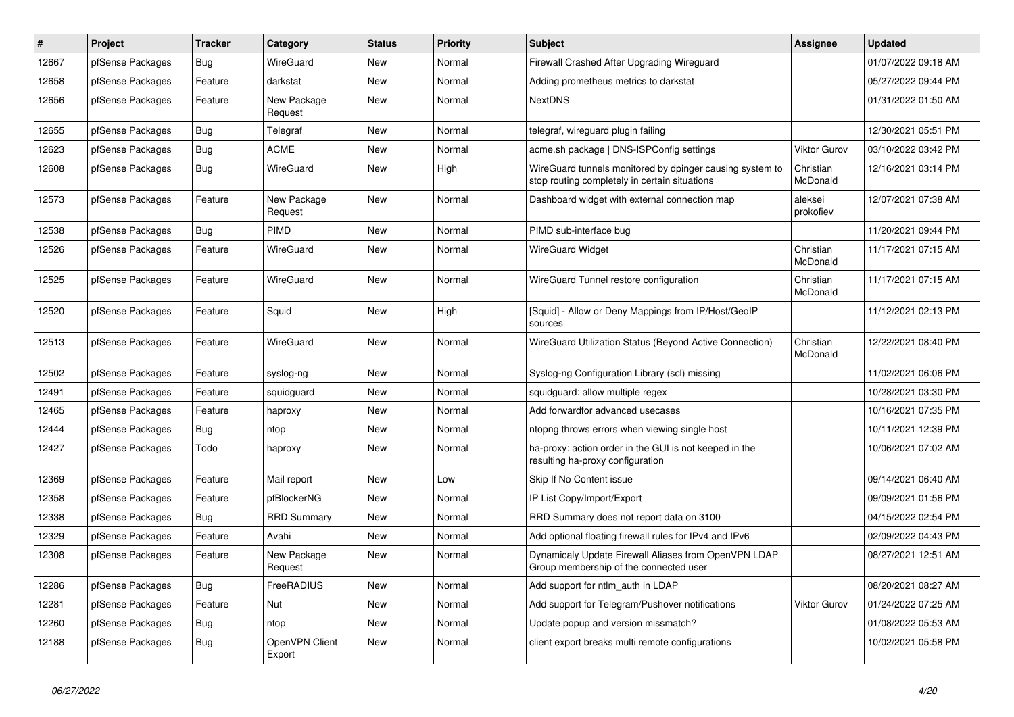| #     | Project          | <b>Tracker</b> | Category                 | <b>Status</b> | <b>Priority</b> | <b>Subject</b>                                                                                            | Assignee              | <b>Updated</b>      |
|-------|------------------|----------------|--------------------------|---------------|-----------------|-----------------------------------------------------------------------------------------------------------|-----------------------|---------------------|
| 12667 | pfSense Packages | Bug            | WireGuard                | <b>New</b>    | Normal          | Firewall Crashed After Upgrading Wireguard                                                                |                       | 01/07/2022 09:18 AM |
| 12658 | pfSense Packages | Feature        | darkstat                 | <b>New</b>    | Normal          | Adding prometheus metrics to darkstat                                                                     |                       | 05/27/2022 09:44 PM |
| 12656 | pfSense Packages | Feature        | New Package<br>Request   | New           | Normal          | <b>NextDNS</b>                                                                                            |                       | 01/31/2022 01:50 AM |
| 12655 | pfSense Packages | Bug            | Telegraf                 | <b>New</b>    | Normal          | telegraf, wireguard plugin failing                                                                        |                       | 12/30/2021 05:51 PM |
| 12623 | pfSense Packages | Bug            | <b>ACME</b>              | <b>New</b>    | Normal          | acme.sh package   DNS-ISPConfig settings                                                                  | <b>Viktor Gurov</b>   | 03/10/2022 03:42 PM |
| 12608 | pfSense Packages | Bug            | WireGuard                | <b>New</b>    | High            | WireGuard tunnels monitored by dpinger causing system to<br>stop routing completely in certain situations | Christian<br>McDonald | 12/16/2021 03:14 PM |
| 12573 | pfSense Packages | Feature        | New Package<br>Request   | <b>New</b>    | Normal          | Dashboard widget with external connection map                                                             | aleksei<br>prokofiev  | 12/07/2021 07:38 AM |
| 12538 | pfSense Packages | <b>Bug</b>     | PIMD                     | <b>New</b>    | Normal          | PIMD sub-interface bug                                                                                    |                       | 11/20/2021 09:44 PM |
| 12526 | pfSense Packages | Feature        | WireGuard                | <b>New</b>    | Normal          | <b>WireGuard Widget</b>                                                                                   | Christian<br>McDonald | 11/17/2021 07:15 AM |
| 12525 | pfSense Packages | Feature        | WireGuard                | <b>New</b>    | Normal          | WireGuard Tunnel restore configuration                                                                    | Christian<br>McDonald | 11/17/2021 07:15 AM |
| 12520 | pfSense Packages | Feature        | Squid                    | <b>New</b>    | High            | [Squid] - Allow or Deny Mappings from IP/Host/GeoIP<br>sources                                            |                       | 11/12/2021 02:13 PM |
| 12513 | pfSense Packages | Feature        | WireGuard                | <b>New</b>    | Normal          | WireGuard Utilization Status (Beyond Active Connection)                                                   | Christian<br>McDonald | 12/22/2021 08:40 PM |
| 12502 | pfSense Packages | Feature        | syslog-ng                | New           | Normal          | Syslog-ng Configuration Library (scl) missing                                                             |                       | 11/02/2021 06:06 PM |
| 12491 | pfSense Packages | Feature        | squidguard               | New           | Normal          | squidguard: allow multiple regex                                                                          |                       | 10/28/2021 03:30 PM |
| 12465 | pfSense Packages | Feature        | haproxy                  | New           | Normal          | Add forwardfor advanced usecases                                                                          |                       | 10/16/2021 07:35 PM |
| 12444 | pfSense Packages | Bug            | ntop                     | New           | Normal          | ntopng throws errors when viewing single host                                                             |                       | 10/11/2021 12:39 PM |
| 12427 | pfSense Packages | Todo           | haproxy                  | New           | Normal          | ha-proxy: action order in the GUI is not keeped in the<br>resulting ha-proxy configuration                |                       | 10/06/2021 07:02 AM |
| 12369 | pfSense Packages | Feature        | Mail report              | <b>New</b>    | Low             | Skip If No Content issue                                                                                  |                       | 09/14/2021 06:40 AM |
| 12358 | pfSense Packages | Feature        | pfBlockerNG              | <b>New</b>    | Normal          | IP List Copy/Import/Export                                                                                |                       | 09/09/2021 01:56 PM |
| 12338 | pfSense Packages | Bug            | <b>RRD Summary</b>       | <b>New</b>    | Normal          | RRD Summary does not report data on 3100                                                                  |                       | 04/15/2022 02:54 PM |
| 12329 | pfSense Packages | Feature        | Avahi                    | <b>New</b>    | Normal          | Add optional floating firewall rules for IPv4 and IPv6                                                    |                       | 02/09/2022 04:43 PM |
| 12308 | pfSense Packages | Feature        | New Package<br>Request   | <b>New</b>    | Normal          | Dynamicaly Update Firewall Aliases from OpenVPN LDAP<br>Group membership of the connected user            |                       | 08/27/2021 12:51 AM |
| 12286 | pfSense Packages | Bug            | FreeRADIUS               | <b>New</b>    | Normal          | Add support for ntlm auth in LDAP                                                                         |                       | 08/20/2021 08:27 AM |
| 12281 | pfSense Packages | Feature        | <b>Nut</b>               | <b>New</b>    | Normal          | Add support for Telegram/Pushover notifications                                                           | <b>Viktor Gurov</b>   | 01/24/2022 07:25 AM |
| 12260 | pfSense Packages | Bug            | ntop                     | <b>New</b>    | Normal          | Update popup and version missmatch?                                                                       |                       | 01/08/2022 05:53 AM |
| 12188 | pfSense Packages | Bug            | OpenVPN Client<br>Export | <b>New</b>    | Normal          | client export breaks multi remote configurations                                                          |                       | 10/02/2021 05:58 PM |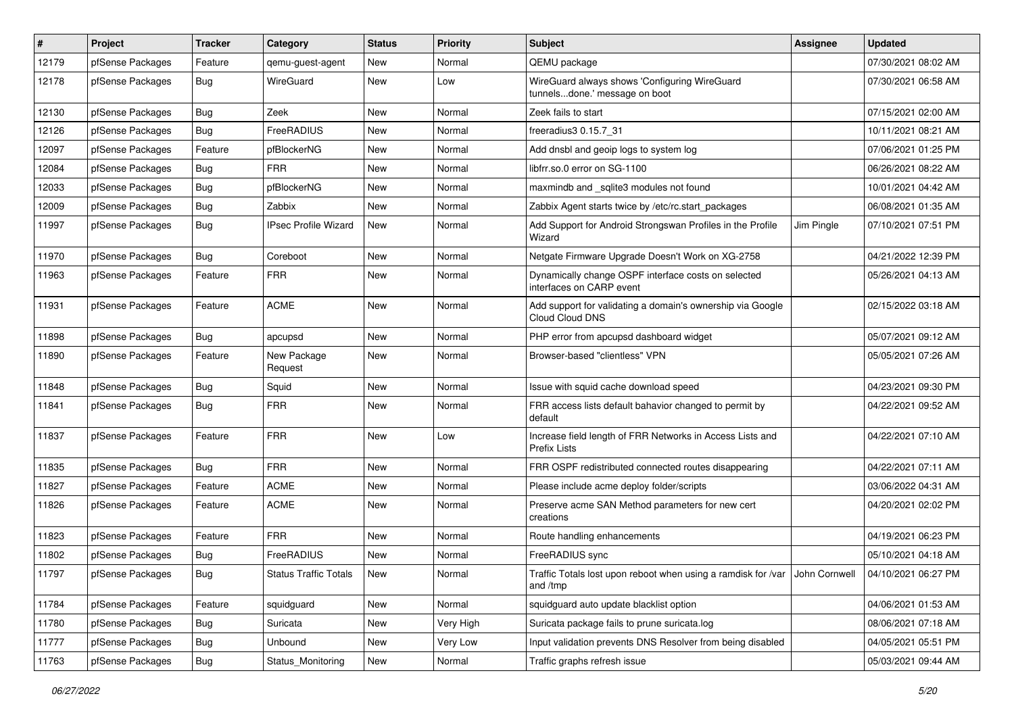| #     | Project          | <b>Tracker</b> | Category                     | <b>Status</b> | <b>Priority</b> | Subject                                                                                                     | <b>Assignee</b> | <b>Updated</b>      |
|-------|------------------|----------------|------------------------------|---------------|-----------------|-------------------------------------------------------------------------------------------------------------|-----------------|---------------------|
| 12179 | pfSense Packages | Feature        | qemu-guest-agent             | New           | Normal          | QEMU package                                                                                                |                 | 07/30/2021 08:02 AM |
| 12178 | pfSense Packages | Bug            | WireGuard                    | New           | Low             | WireGuard always shows 'Configuring WireGuard<br>tunnelsdone.' message on boot                              |                 | 07/30/2021 06:58 AM |
| 12130 | pfSense Packages | Bug            | Zeek                         | New           | Normal          | Zeek fails to start                                                                                         |                 | 07/15/2021 02:00 AM |
| 12126 | pfSense Packages | Bug            | FreeRADIUS                   | New           | Normal          | freeradius3 0.15.7 31                                                                                       |                 | 10/11/2021 08:21 AM |
| 12097 | pfSense Packages | Feature        | pfBlockerNG                  | New           | Normal          | Add dnsbl and geoip logs to system log                                                                      |                 | 07/06/2021 01:25 PM |
| 12084 | pfSense Packages | Bug            | <b>FRR</b>                   | New           | Normal          | libfrr.so.0 error on SG-1100                                                                                |                 | 06/26/2021 08:22 AM |
| 12033 | pfSense Packages | Bug            | pfBlockerNG                  | New           | Normal          | maxmindb and _sqlite3 modules not found                                                                     |                 | 10/01/2021 04:42 AM |
| 12009 | pfSense Packages | Bug            | Zabbix                       | New           | Normal          | Zabbix Agent starts twice by /etc/rc.start packages                                                         |                 | 06/08/2021 01:35 AM |
| 11997 | pfSense Packages | <b>Bug</b>     | <b>IPsec Profile Wizard</b>  | New           | Normal          | Add Support for Android Strongswan Profiles in the Profile<br>Wizard                                        | Jim Pingle      | 07/10/2021 07:51 PM |
| 11970 | pfSense Packages | <b>Bug</b>     | Coreboot                     | New           | Normal          | Netgate Firmware Upgrade Doesn't Work on XG-2758                                                            |                 | 04/21/2022 12:39 PM |
| 11963 | pfSense Packages | Feature        | <b>FRR</b>                   | New           | Normal          | Dynamically change OSPF interface costs on selected<br>interfaces on CARP event                             |                 | 05/26/2021 04:13 AM |
| 11931 | pfSense Packages | Feature        | <b>ACME</b>                  | New           | Normal          | Add support for validating a domain's ownership via Google<br>Cloud Cloud DNS                               |                 | 02/15/2022 03:18 AM |
| 11898 | pfSense Packages | Bug            | apcupsd                      | New           | Normal          | PHP error from apcupsd dashboard widget                                                                     |                 | 05/07/2021 09:12 AM |
| 11890 | pfSense Packages | Feature        | New Package<br>Request       | New           | Normal          | Browser-based "clientless" VPN                                                                              |                 | 05/05/2021 07:26 AM |
| 11848 | pfSense Packages | Bug            | Squid                        | New           | Normal          | Issue with squid cache download speed                                                                       |                 | 04/23/2021 09:30 PM |
| 11841 | pfSense Packages | Bug            | <b>FRR</b>                   | New           | Normal          | FRR access lists default bahavior changed to permit by<br>default                                           |                 | 04/22/2021 09:52 AM |
| 11837 | pfSense Packages | Feature        | <b>FRR</b>                   | New           | Low             | Increase field length of FRR Networks in Access Lists and<br>Prefix Lists                                   |                 | 04/22/2021 07:10 AM |
| 11835 | pfSense Packages | Bug            | <b>FRR</b>                   | New           | Normal          | FRR OSPF redistributed connected routes disappearing                                                        |                 | 04/22/2021 07:11 AM |
| 11827 | pfSense Packages | Feature        | <b>ACME</b>                  | New           | Normal          | Please include acme deploy folder/scripts                                                                   |                 | 03/06/2022 04:31 AM |
| 11826 | pfSense Packages | Feature        | <b>ACME</b>                  | New           | Normal          | Preserve acme SAN Method parameters for new cert<br>creations                                               |                 | 04/20/2021 02:02 PM |
| 11823 | pfSense Packages | Feature        | <b>FRR</b>                   | New           | Normal          | Route handling enhancements                                                                                 |                 | 04/19/2021 06:23 PM |
| 11802 | pfSense Packages | Bug            | FreeRADIUS                   | New           | Normal          | FreeRADIUS sync                                                                                             |                 | 05/10/2021 04:18 AM |
| 11797 | pfSense Packages | Bug            | <b>Status Traffic Totals</b> | $\vert$ New   | Normal          | Traffic Totals lost upon reboot when using a ramdisk for /var John Cornwell 04/10/2021 06:27 PM<br>and /tmp |                 |                     |
| 11784 | pfSense Packages | Feature        | squidguard                   | <b>New</b>    | Normal          | squidguard auto update blacklist option                                                                     |                 | 04/06/2021 01:53 AM |
| 11780 | pfSense Packages | Bug            | Suricata                     | New           | Very High       | Suricata package fails to prune suricata.log                                                                |                 | 08/06/2021 07:18 AM |
| 11777 | pfSense Packages | Bug            | Unbound                      | New           | Very Low        | Input validation prevents DNS Resolver from being disabled                                                  |                 | 04/05/2021 05:51 PM |
| 11763 | pfSense Packages | <b>Bug</b>     | Status_Monitoring            | New           | Normal          | Traffic graphs refresh issue                                                                                |                 | 05/03/2021 09:44 AM |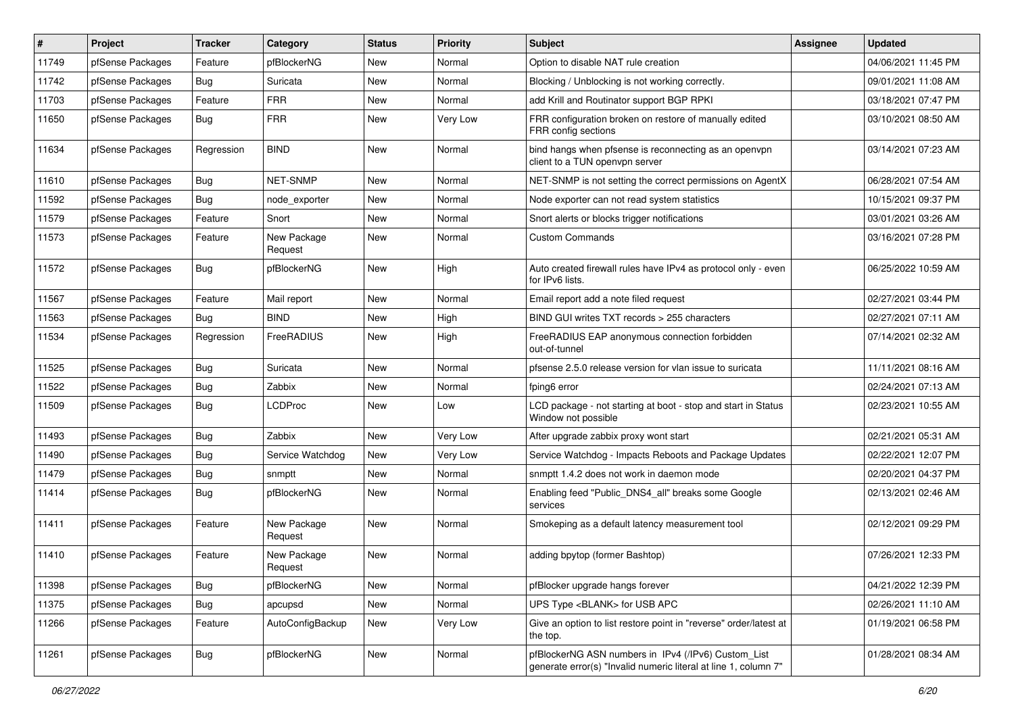| $\vert$ # | Project          | <b>Tracker</b> | Category               | <b>Status</b> | Priority | Subject                                                                                                                | <b>Assignee</b> | <b>Updated</b>      |
|-----------|------------------|----------------|------------------------|---------------|----------|------------------------------------------------------------------------------------------------------------------------|-----------------|---------------------|
| 11749     | pfSense Packages | Feature        | pfBlockerNG            | New           | Normal   | Option to disable NAT rule creation                                                                                    |                 | 04/06/2021 11:45 PM |
| 11742     | pfSense Packages | <b>Bug</b>     | Suricata               | New           | Normal   | Blocking / Unblocking is not working correctly.                                                                        |                 | 09/01/2021 11:08 AM |
| 11703     | pfSense Packages | Feature        | <b>FRR</b>             | New           | Normal   | add Krill and Routinator support BGP RPKI                                                                              |                 | 03/18/2021 07:47 PM |
| 11650     | pfSense Packages | Bug            | <b>FRR</b>             | New           | Very Low | FRR configuration broken on restore of manually edited<br>FRR config sections                                          |                 | 03/10/2021 08:50 AM |
| 11634     | pfSense Packages | Regression     | <b>BIND</b>            | New           | Normal   | bind hangs when pfsense is reconnecting as an openvpn<br>client to a TUN openvpn server                                |                 | 03/14/2021 07:23 AM |
| 11610     | pfSense Packages | Bug            | <b>NET-SNMP</b>        | <b>New</b>    | Normal   | NET-SNMP is not setting the correct permissions on AgentX                                                              |                 | 06/28/2021 07:54 AM |
| 11592     | pfSense Packages | Bug            | node_exporter          | New           | Normal   | Node exporter can not read system statistics                                                                           |                 | 10/15/2021 09:37 PM |
| 11579     | pfSense Packages | Feature        | Snort                  | New           | Normal   | Snort alerts or blocks trigger notifications                                                                           |                 | 03/01/2021 03:26 AM |
| 11573     | pfSense Packages | Feature        | New Package<br>Request | New           | Normal   | <b>Custom Commands</b>                                                                                                 |                 | 03/16/2021 07:28 PM |
| 11572     | pfSense Packages | <b>Bug</b>     | pfBlockerNG            | <b>New</b>    | High     | Auto created firewall rules have IPv4 as protocol only - even<br>for IPv6 lists.                                       |                 | 06/25/2022 10:59 AM |
| 11567     | pfSense Packages | Feature        | Mail report            | New           | Normal   | Email report add a note filed request                                                                                  |                 | 02/27/2021 03:44 PM |
| 11563     | pfSense Packages | Bug            | <b>BIND</b>            | New           | High     | BIND GUI writes TXT records > 255 characters                                                                           |                 | 02/27/2021 07:11 AM |
| 11534     | pfSense Packages | Regression     | FreeRADIUS             | New           | High     | FreeRADIUS EAP anonymous connection forbidden<br>out-of-tunnel                                                         |                 | 07/14/2021 02:32 AM |
| 11525     | pfSense Packages | Bug            | Suricata               | <b>New</b>    | Normal   | pfsense 2.5.0 release version for vlan issue to suricata                                                               |                 | 11/11/2021 08:16 AM |
| 11522     | pfSense Packages | <b>Bug</b>     | Zabbix                 | <b>New</b>    | Normal   | fping6 error                                                                                                           |                 | 02/24/2021 07:13 AM |
| 11509     | pfSense Packages | <b>Bug</b>     | <b>LCDProc</b>         | New           | Low      | LCD package - not starting at boot - stop and start in Status<br>Window not possible                                   |                 | 02/23/2021 10:55 AM |
| 11493     | pfSense Packages | Bug            | Zabbix                 | New           | Very Low | After upgrade zabbix proxy wont start                                                                                  |                 | 02/21/2021 05:31 AM |
| 11490     | pfSense Packages | Bug            | Service Watchdog       | New           | Very Low | Service Watchdog - Impacts Reboots and Package Updates                                                                 |                 | 02/22/2021 12:07 PM |
| 11479     | pfSense Packages | <b>Bug</b>     | snmptt                 | New           | Normal   | snmptt 1.4.2 does not work in daemon mode                                                                              |                 | 02/20/2021 04:37 PM |
| 11414     | pfSense Packages | <b>Bug</b>     | pfBlockerNG            | New           | Normal   | Enabling feed "Public_DNS4_all" breaks some Google<br>services                                                         |                 | 02/13/2021 02:46 AM |
| 11411     | pfSense Packages | Feature        | New Package<br>Request | <b>New</b>    | Normal   | Smokeping as a default latency measurement tool                                                                        |                 | 02/12/2021 09:29 PM |
| 11410     | pfSense Packages | Feature        | New Package<br>Request | New           | Normal   | adding bpytop (former Bashtop)                                                                                         |                 | 07/26/2021 12:33 PM |
| 11398     | pfSense Packages | Bug            | pfBlockerNG            | <b>New</b>    | Normal   | pfBlocker upgrade hangs forever                                                                                        |                 | 04/21/2022 12:39 PM |
| 11375     | pfSense Packages | Bug            | apcupsd                | New           | Normal   | UPS Type <blank> for USB APC</blank>                                                                                   |                 | 02/26/2021 11:10 AM |
| 11266     | pfSense Packages | Feature        | AutoConfigBackup       | New           | Very Low | Give an option to list restore point in "reverse" order/latest at<br>the top.                                          |                 | 01/19/2021 06:58 PM |
| 11261     | pfSense Packages | <b>Bug</b>     | pfBlockerNG            | New           | Normal   | pfBlockerNG ASN numbers in IPv4 (/IPv6) Custom List<br>generate error(s) "Invalid numeric literal at line 1, column 7" |                 | 01/28/2021 08:34 AM |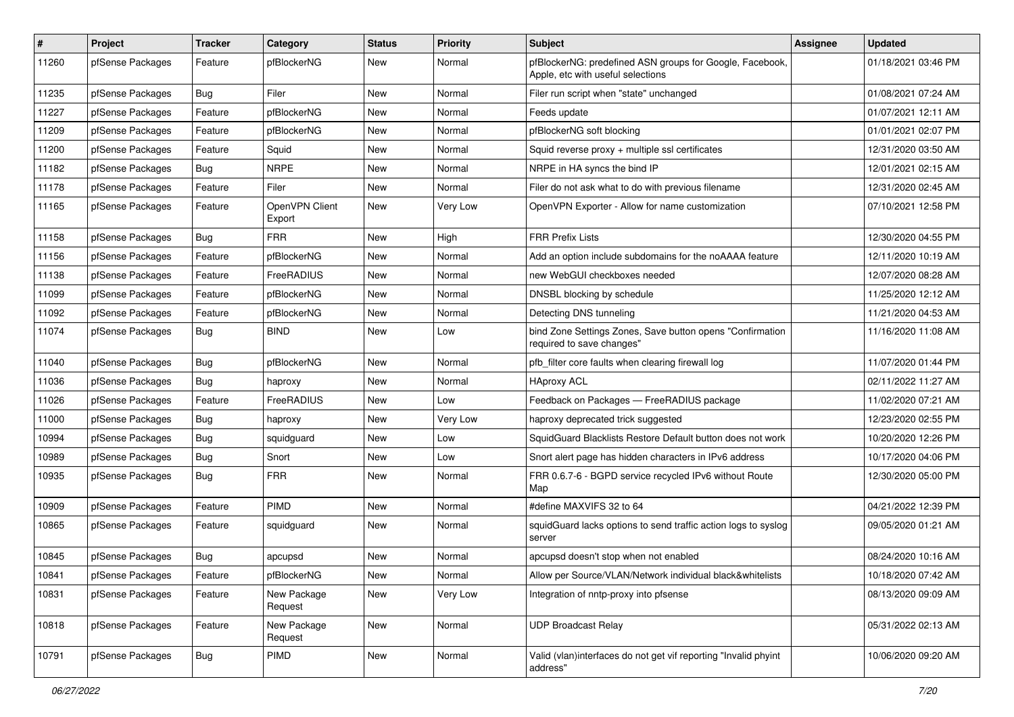| #     | Project          | <b>Tracker</b> | Category                 | <b>Status</b> | Priority | <b>Subject</b>                                                                                | Assignee | <b>Updated</b>      |
|-------|------------------|----------------|--------------------------|---------------|----------|-----------------------------------------------------------------------------------------------|----------|---------------------|
| 11260 | pfSense Packages | Feature        | pfBlockerNG              | New           | Normal   | pfBlockerNG: predefined ASN groups for Google, Facebook,<br>Apple, etc with useful selections |          | 01/18/2021 03:46 PM |
| 11235 | pfSense Packages | Bug            | Filer                    | New           | Normal   | Filer run script when "state" unchanged                                                       |          | 01/08/2021 07:24 AM |
| 11227 | pfSense Packages | Feature        | pfBlockerNG              | New           | Normal   | Feeds update                                                                                  |          | 01/07/2021 12:11 AM |
| 11209 | pfSense Packages | Feature        | pfBlockerNG              | New           | Normal   | pfBlockerNG soft blocking                                                                     |          | 01/01/2021 02:07 PM |
| 11200 | pfSense Packages | Feature        | Squid                    | New           | Normal   | Squid reverse proxy + multiple ssl certificates                                               |          | 12/31/2020 03:50 AM |
| 11182 | pfSense Packages | Bug            | <b>NRPE</b>              | New           | Normal   | NRPE in HA syncs the bind IP                                                                  |          | 12/01/2021 02:15 AM |
| 11178 | pfSense Packages | Feature        | Filer                    | New           | Normal   | Filer do not ask what to do with previous filename                                            |          | 12/31/2020 02:45 AM |
| 11165 | pfSense Packages | Feature        | OpenVPN Client<br>Export | New           | Very Low | OpenVPN Exporter - Allow for name customization                                               |          | 07/10/2021 12:58 PM |
| 11158 | pfSense Packages | <b>Bug</b>     | <b>FRR</b>               | New           | High     | <b>FRR Prefix Lists</b>                                                                       |          | 12/30/2020 04:55 PM |
| 11156 | pfSense Packages | Feature        | pfBlockerNG              | New           | Normal   | Add an option include subdomains for the noAAAA feature                                       |          | 12/11/2020 10:19 AM |
| 11138 | pfSense Packages | Feature        | FreeRADIUS               | New           | Normal   | new WebGUI checkboxes needed                                                                  |          | 12/07/2020 08:28 AM |
| 11099 | pfSense Packages | Feature        | pfBlockerNG              | New           | Normal   | DNSBL blocking by schedule                                                                    |          | 11/25/2020 12:12 AM |
| 11092 | pfSense Packages | Feature        | pfBlockerNG              | New           | Normal   | Detecting DNS tunneling                                                                       |          | 11/21/2020 04:53 AM |
| 11074 | pfSense Packages | Bug            | <b>BIND</b>              | New           | Low      | bind Zone Settings Zones, Save button opens "Confirmation<br>required to save changes"        |          | 11/16/2020 11:08 AM |
| 11040 | pfSense Packages | Bug            | pfBlockerNG              | New           | Normal   | pfb filter core faults when clearing firewall log                                             |          | 11/07/2020 01:44 PM |
| 11036 | pfSense Packages | <b>Bug</b>     | haproxy                  | New           | Normal   | <b>HAproxy ACL</b>                                                                            |          | 02/11/2022 11:27 AM |
| 11026 | pfSense Packages | Feature        | FreeRADIUS               | New           | Low      | Feedback on Packages - FreeRADIUS package                                                     |          | 11/02/2020 07:21 AM |
| 11000 | pfSense Packages | Bug            | haproxy                  | New           | Very Low | haproxy deprecated trick suggested                                                            |          | 12/23/2020 02:55 PM |
| 10994 | pfSense Packages | <b>Bug</b>     | squidguard               | New           | Low      | SquidGuard Blacklists Restore Default button does not work                                    |          | 10/20/2020 12:26 PM |
| 10989 | pfSense Packages | Bug            | Snort                    | New           | Low      | Snort alert page has hidden characters in IPv6 address                                        |          | 10/17/2020 04:06 PM |
| 10935 | pfSense Packages | Bug            | <b>FRR</b>               | New           | Normal   | FRR 0.6.7-6 - BGPD service recycled IPv6 without Route<br>Map                                 |          | 12/30/2020 05:00 PM |
| 10909 | pfSense Packages | Feature        | <b>PIMD</b>              | New           | Normal   | #define MAXVIFS 32 to 64                                                                      |          | 04/21/2022 12:39 PM |
| 10865 | pfSense Packages | Feature        | squidguard               | New           | Normal   | squidGuard lacks options to send traffic action logs to syslog<br>server                      |          | 09/05/2020 01:21 AM |
| 10845 | pfSense Packages | Bug            | apcupsd                  | New           | Normal   | apcupsd doesn't stop when not enabled                                                         |          | 08/24/2020 10:16 AM |
| 10841 | pfSense Packages | Feature        | pfBlockerNG              | New           | Normal   | Allow per Source/VLAN/Network individual black&whitelists                                     |          | 10/18/2020 07:42 AM |
| 10831 | pfSense Packages | Feature        | New Package<br>Request   | New           | Very Low | Integration of nntp-proxy into pfsense                                                        |          | 08/13/2020 09:09 AM |
| 10818 | pfSense Packages | Feature        | New Package<br>Request   | New           | Normal   | <b>UDP Broadcast Relay</b>                                                                    |          | 05/31/2022 02:13 AM |
| 10791 | pfSense Packages | <b>Bug</b>     | PIMD                     | New           | Normal   | Valid (vlan)interfaces do not get vif reporting "Invalid phyint<br>address"                   |          | 10/06/2020 09:20 AM |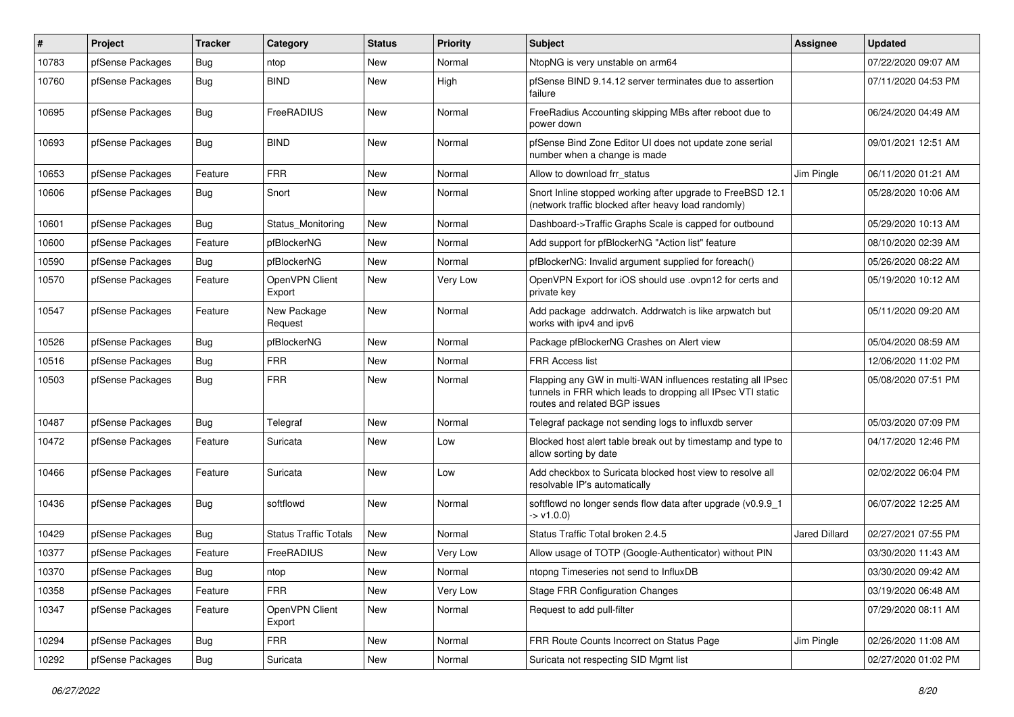| #     | Project          | <b>Tracker</b> | Category                     | <b>Status</b> | <b>Priority</b> | <b>Subject</b>                                                                                                                                              | Assignee             | <b>Updated</b>      |
|-------|------------------|----------------|------------------------------|---------------|-----------------|-------------------------------------------------------------------------------------------------------------------------------------------------------------|----------------------|---------------------|
| 10783 | pfSense Packages | <b>Bug</b>     | ntop                         | New           | Normal          | NtopNG is very unstable on arm64                                                                                                                            |                      | 07/22/2020 09:07 AM |
| 10760 | pfSense Packages | Bug            | <b>BIND</b>                  | New           | High            | pfSense BIND 9.14.12 server terminates due to assertion<br>failure                                                                                          |                      | 07/11/2020 04:53 PM |
| 10695 | pfSense Packages | <b>Bug</b>     | FreeRADIUS                   | New           | Normal          | FreeRadius Accounting skipping MBs after reboot due to<br>power down                                                                                        |                      | 06/24/2020 04:49 AM |
| 10693 | pfSense Packages | Bug            | <b>BIND</b>                  | New           | Normal          | pfSense Bind Zone Editor UI does not update zone serial<br>number when a change is made                                                                     |                      | 09/01/2021 12:51 AM |
| 10653 | pfSense Packages | Feature        | <b>FRR</b>                   | New           | Normal          | Allow to download frr status                                                                                                                                | Jim Pingle           | 06/11/2020 01:21 AM |
| 10606 | pfSense Packages | Bug            | Snort                        | New           | Normal          | Snort Inline stopped working after upgrade to FreeBSD 12.1<br>(network traffic blocked after heavy load randomly)                                           |                      | 05/28/2020 10:06 AM |
| 10601 | pfSense Packages | <b>Bug</b>     | Status Monitoring            | New           | Normal          | Dashboard->Traffic Graphs Scale is capped for outbound                                                                                                      |                      | 05/29/2020 10:13 AM |
| 10600 | pfSense Packages | Feature        | pfBlockerNG                  | New           | Normal          | Add support for pfBlockerNG "Action list" feature                                                                                                           |                      | 08/10/2020 02:39 AM |
| 10590 | pfSense Packages | Bug            | pfBlockerNG                  | New           | Normal          | pfBlockerNG: Invalid argument supplied for foreach()                                                                                                        |                      | 05/26/2020 08:22 AM |
| 10570 | pfSense Packages | Feature        | OpenVPN Client<br>Export     | New           | Very Low        | OpenVPN Export for iOS should use .ovpn12 for certs and<br>private key                                                                                      |                      | 05/19/2020 10:12 AM |
| 10547 | pfSense Packages | Feature        | New Package<br>Request       | New           | Normal          | Add package addrwatch. Addrwatch is like arpwatch but<br>works with ipv4 and ipv6                                                                           |                      | 05/11/2020 09:20 AM |
| 10526 | pfSense Packages | Bug            | pfBlockerNG                  | New           | Normal          | Package pfBlockerNG Crashes on Alert view                                                                                                                   |                      | 05/04/2020 08:59 AM |
| 10516 | pfSense Packages | <b>Bug</b>     | <b>FRR</b>                   | New           | Normal          | FRR Access list                                                                                                                                             |                      | 12/06/2020 11:02 PM |
| 10503 | pfSense Packages | <b>Bug</b>     | <b>FRR</b>                   | New           | Normal          | Flapping any GW in multi-WAN influences restating all IPsec<br>tunnels in FRR which leads to dropping all IPsec VTI static<br>routes and related BGP issues |                      | 05/08/2020 07:51 PM |
| 10487 | pfSense Packages | Bug            | Telegraf                     | New           | Normal          | Telegraf package not sending logs to influxdb server                                                                                                        |                      | 05/03/2020 07:09 PM |
| 10472 | pfSense Packages | Feature        | Suricata                     | New           | Low             | Blocked host alert table break out by timestamp and type to<br>allow sorting by date                                                                        |                      | 04/17/2020 12:46 PM |
| 10466 | pfSense Packages | Feature        | Suricata                     | New           | Low             | Add checkbox to Suricata blocked host view to resolve all<br>resolvable IP's automatically                                                                  |                      | 02/02/2022 06:04 PM |
| 10436 | pfSense Packages | <b>Bug</b>     | softflowd                    | New           | Normal          | softflowd no longer sends flow data after upgrade (v0.9.9_1<br>$-> v1.0.0$                                                                                  |                      | 06/07/2022 12:25 AM |
| 10429 | pfSense Packages | Bug            | <b>Status Traffic Totals</b> | New           | Normal          | Status Traffic Total broken 2.4.5                                                                                                                           | <b>Jared Dillard</b> | 02/27/2021 07:55 PM |
| 10377 | pfSense Packages | Feature        | FreeRADIUS                   | New           | Very Low        | Allow usage of TOTP (Google-Authenticator) without PIN                                                                                                      |                      | 03/30/2020 11:43 AM |
| 10370 | pfSense Packages | <b>Bug</b>     | ntop                         | New           | Normal          | ntopng Timeseries not send to InfluxDB                                                                                                                      |                      | 03/30/2020 09:42 AM |
| 10358 | pfSense Packages | Feature        | FRR                          | New           | Very Low        | <b>Stage FRR Configuration Changes</b>                                                                                                                      |                      | 03/19/2020 06:48 AM |
| 10347 | pfSense Packages | Feature        | OpenVPN Client<br>Export     | New           | Normal          | Request to add pull-filter                                                                                                                                  |                      | 07/29/2020 08:11 AM |
| 10294 | pfSense Packages | Bug            | <b>FRR</b>                   | New           | Normal          | FRR Route Counts Incorrect on Status Page                                                                                                                   | Jim Pingle           | 02/26/2020 11:08 AM |
| 10292 | pfSense Packages | Bug            | Suricata                     | New           | Normal          | Suricata not respecting SID Mgmt list                                                                                                                       |                      | 02/27/2020 01:02 PM |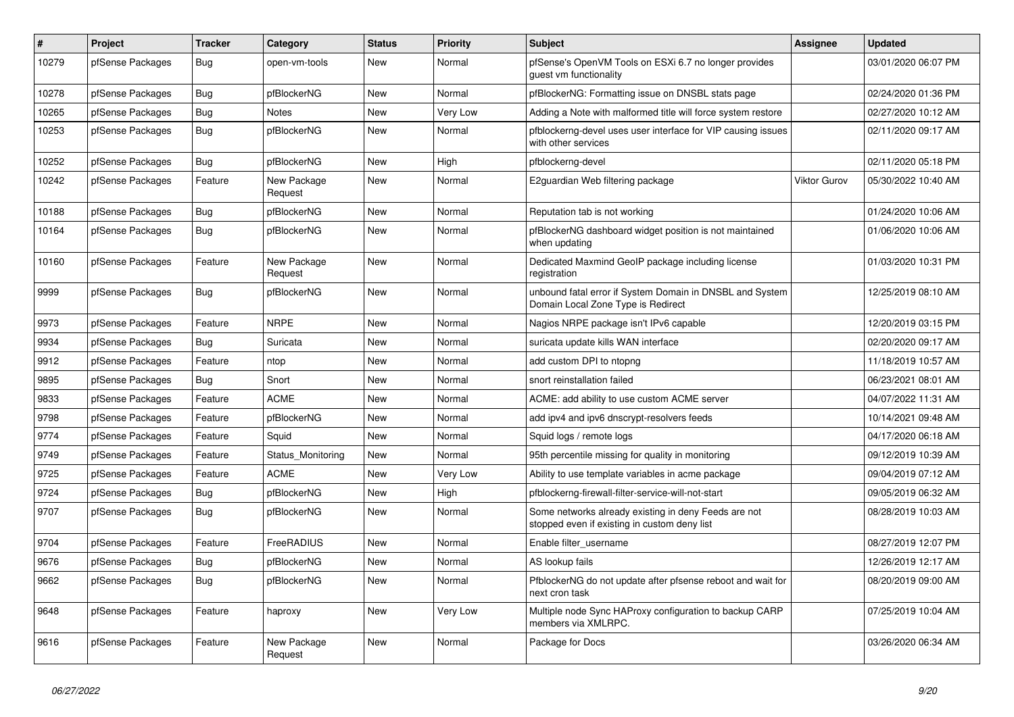| #     | <b>Project</b>   | <b>Tracker</b> | Category               | <b>Status</b> | <b>Priority</b> | <b>Subject</b>                                                                                       | <b>Assignee</b> | <b>Updated</b>      |
|-------|------------------|----------------|------------------------|---------------|-----------------|------------------------------------------------------------------------------------------------------|-----------------|---------------------|
| 10279 | pfSense Packages | Bug            | open-vm-tools          | New           | Normal          | pfSense's OpenVM Tools on ESXi 6.7 no longer provides<br>guest vm functionality                      |                 | 03/01/2020 06:07 PM |
| 10278 | pfSense Packages | Bug            | pfBlockerNG            | <b>New</b>    | Normal          | pfBlockerNG: Formatting issue on DNSBL stats page                                                    |                 | 02/24/2020 01:36 PM |
| 10265 | pfSense Packages | <b>Bug</b>     | Notes                  | New           | Very Low        | Adding a Note with malformed title will force system restore                                         |                 | 02/27/2020 10:12 AM |
| 10253 | pfSense Packages | <b>Bug</b>     | pfBlockerNG            | New           | Normal          | pfblockerng-devel uses user interface for VIP causing issues<br>with other services                  |                 | 02/11/2020 09:17 AM |
| 10252 | pfSense Packages | Bug            | pfBlockerNG            | <b>New</b>    | High            | pfblockerng-devel                                                                                    |                 | 02/11/2020 05:18 PM |
| 10242 | pfSense Packages | Feature        | New Package<br>Request | <b>New</b>    | Normal          | E2guardian Web filtering package                                                                     | Viktor Gurov    | 05/30/2022 10:40 AM |
| 10188 | pfSense Packages | <b>Bug</b>     | pfBlockerNG            | <b>New</b>    | Normal          | Reputation tab is not working                                                                        |                 | 01/24/2020 10:06 AM |
| 10164 | pfSense Packages | Bug            | pfBlockerNG            | <b>New</b>    | Normal          | pfBlockerNG dashboard widget position is not maintained<br>when updating                             |                 | 01/06/2020 10:06 AM |
| 10160 | pfSense Packages | Feature        | New Package<br>Request | <b>New</b>    | Normal          | Dedicated Maxmind GeoIP package including license<br>registration                                    |                 | 01/03/2020 10:31 PM |
| 9999  | pfSense Packages | Bug            | pfBlockerNG            | New           | Normal          | unbound fatal error if System Domain in DNSBL and System<br>Domain Local Zone Type is Redirect       |                 | 12/25/2019 08:10 AM |
| 9973  | pfSense Packages | Feature        | <b>NRPE</b>            | <b>New</b>    | Normal          | Nagios NRPE package isn't IPv6 capable                                                               |                 | 12/20/2019 03:15 PM |
| 9934  | pfSense Packages | <b>Bug</b>     | Suricata               | <b>New</b>    | Normal          | suricata update kills WAN interface                                                                  |                 | 02/20/2020 09:17 AM |
| 9912  | pfSense Packages | Feature        | ntop                   | <b>New</b>    | Normal          | add custom DPI to ntopng                                                                             |                 | 11/18/2019 10:57 AM |
| 9895  | pfSense Packages | Bug            | Snort                  | <b>New</b>    | Normal          | snort reinstallation failed                                                                          |                 | 06/23/2021 08:01 AM |
| 9833  | pfSense Packages | Feature        | <b>ACME</b>            | <b>New</b>    | Normal          | ACME: add ability to use custom ACME server                                                          |                 | 04/07/2022 11:31 AM |
| 9798  | pfSense Packages | Feature        | pfBlockerNG            | New           | Normal          | add ipv4 and ipv6 dnscrypt-resolvers feeds                                                           |                 | 10/14/2021 09:48 AM |
| 9774  | pfSense Packages | Feature        | Squid                  | <b>New</b>    | Normal          | Squid logs / remote logs                                                                             |                 | 04/17/2020 06:18 AM |
| 9749  | pfSense Packages | Feature        | Status Monitoring      | <b>New</b>    | Normal          | 95th percentile missing for quality in monitoring                                                    |                 | 09/12/2019 10:39 AM |
| 9725  | pfSense Packages | Feature        | <b>ACME</b>            | <b>New</b>    | Very Low        | Ability to use template variables in acme package                                                    |                 | 09/04/2019 07:12 AM |
| 9724  | pfSense Packages | Bug            | pfBlockerNG            | <b>New</b>    | High            | pfblockerng-firewall-filter-service-will-not-start                                                   |                 | 09/05/2019 06:32 AM |
| 9707  | pfSense Packages | Bug            | pfBlockerNG            | <b>New</b>    | Normal          | Some networks already existing in deny Feeds are not<br>stopped even if existing in custom deny list |                 | 08/28/2019 10:03 AM |
| 9704  | pfSense Packages | Feature        | FreeRADIUS             | New           | Normal          | Enable filter username                                                                               |                 | 08/27/2019 12:07 PM |
| 9676  | pfSense Packages | Bug            | pfBlockerNG            | New           | Normal          | AS lookup fails                                                                                      |                 | 12/26/2019 12:17 AM |
| 9662  | pfSense Packages | <b>Bug</b>     | pfBlockerNG            | New           | Normal          | PfblockerNG do not update after pfsense reboot and wait for<br>next cron task                        |                 | 08/20/2019 09:00 AM |
| 9648  | pfSense Packages | Feature        | haproxy                | <b>New</b>    | Very Low        | Multiple node Sync HAProxy configuration to backup CARP<br>members via XMLRPC.                       |                 | 07/25/2019 10:04 AM |
| 9616  | pfSense Packages | Feature        | New Package<br>Request | <b>New</b>    | Normal          | Package for Docs                                                                                     |                 | 03/26/2020 06:34 AM |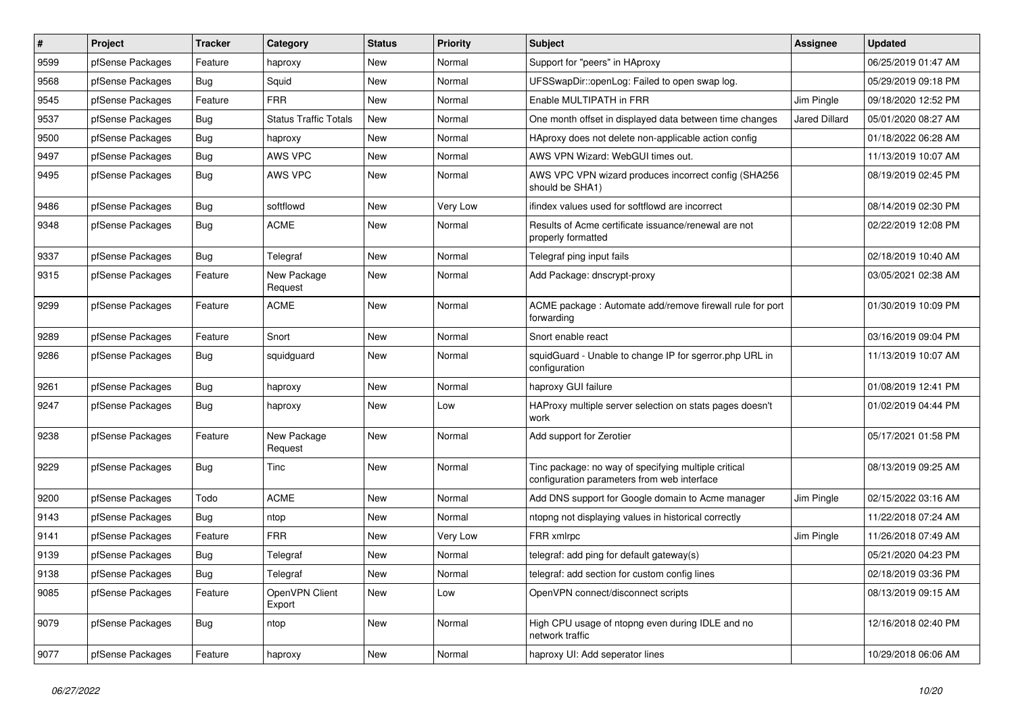| $\sharp$ | Project          | <b>Tracker</b> | Category                     | <b>Status</b> | <b>Priority</b> | Subject                                                                                             | <b>Assignee</b>      | <b>Updated</b>      |
|----------|------------------|----------------|------------------------------|---------------|-----------------|-----------------------------------------------------------------------------------------------------|----------------------|---------------------|
| 9599     | pfSense Packages | Feature        | haproxy                      | New           | Normal          | Support for "peers" in HAproxy                                                                      |                      | 06/25/2019 01:47 AM |
| 9568     | pfSense Packages | <b>Bug</b>     | Squid                        | New           | Normal          | UFSSwapDir::openLog: Failed to open swap log.                                                       |                      | 05/29/2019 09:18 PM |
| 9545     | pfSense Packages | Feature        | <b>FRR</b>                   | New           | Normal          | Enable MULTIPATH in FRR                                                                             | Jim Pingle           | 09/18/2020 12:52 PM |
| 9537     | pfSense Packages | Bug            | <b>Status Traffic Totals</b> | New           | Normal          | One month offset in displayed data between time changes                                             | <b>Jared Dillard</b> | 05/01/2020 08:27 AM |
| 9500     | pfSense Packages | <b>Bug</b>     | haproxy                      | New           | Normal          | HAproxy does not delete non-applicable action config                                                |                      | 01/18/2022 06:28 AM |
| 9497     | pfSense Packages | <b>Bug</b>     | AWS VPC                      | New           | Normal          | AWS VPN Wizard: WebGUI times out.                                                                   |                      | 11/13/2019 10:07 AM |
| 9495     | pfSense Packages | Bug            | AWS VPC                      | New           | Normal          | AWS VPC VPN wizard produces incorrect config (SHA256<br>should be SHA1)                             |                      | 08/19/2019 02:45 PM |
| 9486     | pfSense Packages | Bug            | softflowd                    | New           | Very Low        | ifindex values used for softflowd are incorrect                                                     |                      | 08/14/2019 02:30 PM |
| 9348     | pfSense Packages | <b>Bug</b>     | <b>ACME</b>                  | New           | Normal          | Results of Acme certificate issuance/renewal are not<br>properly formatted                          |                      | 02/22/2019 12:08 PM |
| 9337     | pfSense Packages | <b>Bug</b>     | Telegraf                     | <b>New</b>    | Normal          | Telegraf ping input fails                                                                           |                      | 02/18/2019 10:40 AM |
| 9315     | pfSense Packages | Feature        | New Package<br>Request       | New           | Normal          | Add Package: dnscrypt-proxy                                                                         |                      | 03/05/2021 02:38 AM |
| 9299     | pfSense Packages | Feature        | <b>ACME</b>                  | New           | Normal          | ACME package: Automate add/remove firewall rule for port<br>forwarding                              |                      | 01/30/2019 10:09 PM |
| 9289     | pfSense Packages | Feature        | Snort                        | New           | Normal          | Snort enable react                                                                                  |                      | 03/16/2019 09:04 PM |
| 9286     | pfSense Packages | Bug            | squidguard                   | New           | Normal          | squidGuard - Unable to change IP for sgerror.php URL in<br>configuration                            |                      | 11/13/2019 10:07 AM |
| 9261     | pfSense Packages | <b>Bug</b>     | haproxy                      | New           | Normal          | haproxy GUI failure                                                                                 |                      | 01/08/2019 12:41 PM |
| 9247     | pfSense Packages | <b>Bug</b>     | haproxy                      | New           | Low             | HAProxy multiple server selection on stats pages doesn't<br>work                                    |                      | 01/02/2019 04:44 PM |
| 9238     | pfSense Packages | Feature        | New Package<br>Request       | <b>New</b>    | Normal          | Add support for Zerotier                                                                            |                      | 05/17/2021 01:58 PM |
| 9229     | pfSense Packages | <b>Bug</b>     | Tinc                         | New           | Normal          | Tinc package: no way of specifying multiple critical<br>configuration parameters from web interface |                      | 08/13/2019 09:25 AM |
| 9200     | pfSense Packages | Todo           | <b>ACME</b>                  | New           | Normal          | Add DNS support for Google domain to Acme manager                                                   | Jim Pingle           | 02/15/2022 03:16 AM |
| 9143     | pfSense Packages | Bug            | ntop                         | New           | Normal          | ntopng not displaying values in historical correctly                                                |                      | 11/22/2018 07:24 AM |
| 9141     | pfSense Packages | Feature        | <b>FRR</b>                   | <b>New</b>    | Very Low        | FRR xmlrpc                                                                                          | Jim Pingle           | 11/26/2018 07:49 AM |
| 9139     | pfSense Packages | Bug            | Telegraf                     | New           | Normal          | telegraf: add ping for default gateway(s)                                                           |                      | 05/21/2020 04:23 PM |
| 9138     | pfSense Packages | <b>Bug</b>     | Telegraf                     | New           | Normal          | telegraf: add section for custom config lines                                                       |                      | 02/18/2019 03:36 PM |
| 9085     | pfSense Packages | Feature        | OpenVPN Client<br>Export     | New           | Low             | OpenVPN connect/disconnect scripts                                                                  |                      | 08/13/2019 09:15 AM |
| 9079     | pfSense Packages | Bug            | ntop                         | New           | Normal          | High CPU usage of ntopng even during IDLE and no<br>network traffic                                 |                      | 12/16/2018 02:40 PM |
| 9077     | pfSense Packages | Feature        | haproxy                      | New           | Normal          | haproxy UI: Add seperator lines                                                                     |                      | 10/29/2018 06:06 AM |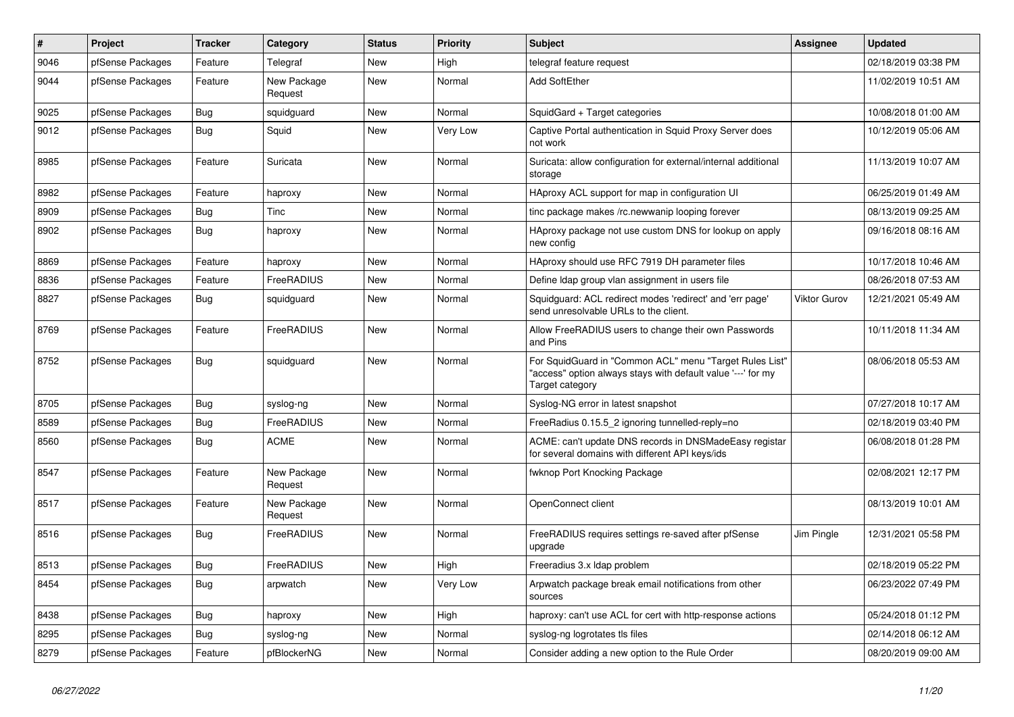| #    | Project          | <b>Tracker</b> | Category               | <b>Status</b> | <b>Priority</b> | <b>Subject</b>                                                                                                                             | Assignee            | <b>Updated</b>      |
|------|------------------|----------------|------------------------|---------------|-----------------|--------------------------------------------------------------------------------------------------------------------------------------------|---------------------|---------------------|
| 9046 | pfSense Packages | Feature        | Telegraf               | <b>New</b>    | High            | telegraf feature reguest                                                                                                                   |                     | 02/18/2019 03:38 PM |
| 9044 | pfSense Packages | Feature        | New Package<br>Request | <b>New</b>    | Normal          | <b>Add SoftEther</b>                                                                                                                       |                     | 11/02/2019 10:51 AM |
| 9025 | pfSense Packages | Bug            | squidguard             | New           | Normal          | SquidGard + Target categories                                                                                                              |                     | 10/08/2018 01:00 AM |
| 9012 | pfSense Packages | Bug            | Squid                  | New           | <b>Very Low</b> | Captive Portal authentication in Squid Proxy Server does<br>not work                                                                       |                     | 10/12/2019 05:06 AM |
| 8985 | pfSense Packages | Feature        | Suricata               | <b>New</b>    | Normal          | Suricata: allow configuration for external/internal additional<br>storage                                                                  |                     | 11/13/2019 10:07 AM |
| 8982 | pfSense Packages | Feature        | haproxy                | <b>New</b>    | Normal          | HAproxy ACL support for map in configuration UI                                                                                            |                     | 06/25/2019 01:49 AM |
| 8909 | pfSense Packages | Bug            | Tinc                   | New           | Normal          | tinc package makes /rc.newwanip looping forever                                                                                            |                     | 08/13/2019 09:25 AM |
| 8902 | pfSense Packages | <b>Bug</b>     | haproxy                | New           | Normal          | HAproxy package not use custom DNS for lookup on apply<br>new config                                                                       |                     | 09/16/2018 08:16 AM |
| 8869 | pfSense Packages | Feature        | haproxy                | New           | Normal          | HAproxy should use RFC 7919 DH parameter files                                                                                             |                     | 10/17/2018 10:46 AM |
| 8836 | pfSense Packages | Feature        | <b>FreeRADIUS</b>      | <b>New</b>    | Normal          | Define Idap group vlan assignment in users file                                                                                            |                     | 08/26/2018 07:53 AM |
| 8827 | pfSense Packages | <b>Bug</b>     | squidguard             | New           | Normal          | Squidguard: ACL redirect modes 'redirect' and 'err page'<br>send unresolvable URLs to the client.                                          | <b>Viktor Gurov</b> | 12/21/2021 05:49 AM |
| 8769 | pfSense Packages | Feature        | <b>FreeRADIUS</b>      | <b>New</b>    | Normal          | Allow FreeRADIUS users to change their own Passwords<br>and Pins                                                                           |                     | 10/11/2018 11:34 AM |
| 8752 | pfSense Packages | Bug            | squidguard             | New           | Normal          | For SquidGuard in "Common ACL" menu "Target Rules List"<br>"access" option always stays with default value '---' for my<br>Target category |                     | 08/06/2018 05:53 AM |
| 8705 | pfSense Packages | <b>Bug</b>     | syslog-ng              | New           | Normal          | Syslog-NG error in latest snapshot                                                                                                         |                     | 07/27/2018 10:17 AM |
| 8589 | pfSense Packages | Bug            | <b>FreeRADIUS</b>      | <b>New</b>    | Normal          | FreeRadius 0.15.5_2 ignoring tunnelled-reply=no                                                                                            |                     | 02/18/2019 03:40 PM |
| 8560 | pfSense Packages | <b>Bug</b>     | <b>ACME</b>            | New           | Normal          | ACME: can't update DNS records in DNSMadeEasy registar<br>for several domains with different API keys/ids                                  |                     | 06/08/2018 01:28 PM |
| 8547 | pfSense Packages | Feature        | New Package<br>Request | New           | Normal          | fwknop Port Knocking Package                                                                                                               |                     | 02/08/2021 12:17 PM |
| 8517 | pfSense Packages | Feature        | New Package<br>Request | <b>New</b>    | Normal          | OpenConnect client                                                                                                                         |                     | 08/13/2019 10:01 AM |
| 8516 | pfSense Packages | Bug            | FreeRADIUS             | New           | Normal          | FreeRADIUS requires settings re-saved after pfSense<br>upgrade                                                                             | Jim Pingle          | 12/31/2021 05:58 PM |
| 8513 | pfSense Packages | <b>Bug</b>     | <b>FreeRADIUS</b>      | <b>New</b>    | High            | Freeradius 3.x Idap problem                                                                                                                |                     | 02/18/2019 05:22 PM |
| 8454 | pfSense Packages | <b>Bug</b>     | arpwatch               | <b>New</b>    | <b>Very Low</b> | Arpwatch package break email notifications from other<br>sources                                                                           |                     | 06/23/2022 07:49 PM |
| 8438 | pfSense Packages | Bug            | haproxy                | New           | High            | haproxy: can't use ACL for cert with http-response actions                                                                                 |                     | 05/24/2018 01:12 PM |
| 8295 | pfSense Packages | Bug            | syslog-ng              | New           | Normal          | syslog-ng logrotates tls files                                                                                                             |                     | 02/14/2018 06:12 AM |
| 8279 | pfSense Packages | Feature        | pfBlockerNG            | New           | Normal          | Consider adding a new option to the Rule Order                                                                                             |                     | 08/20/2019 09:00 AM |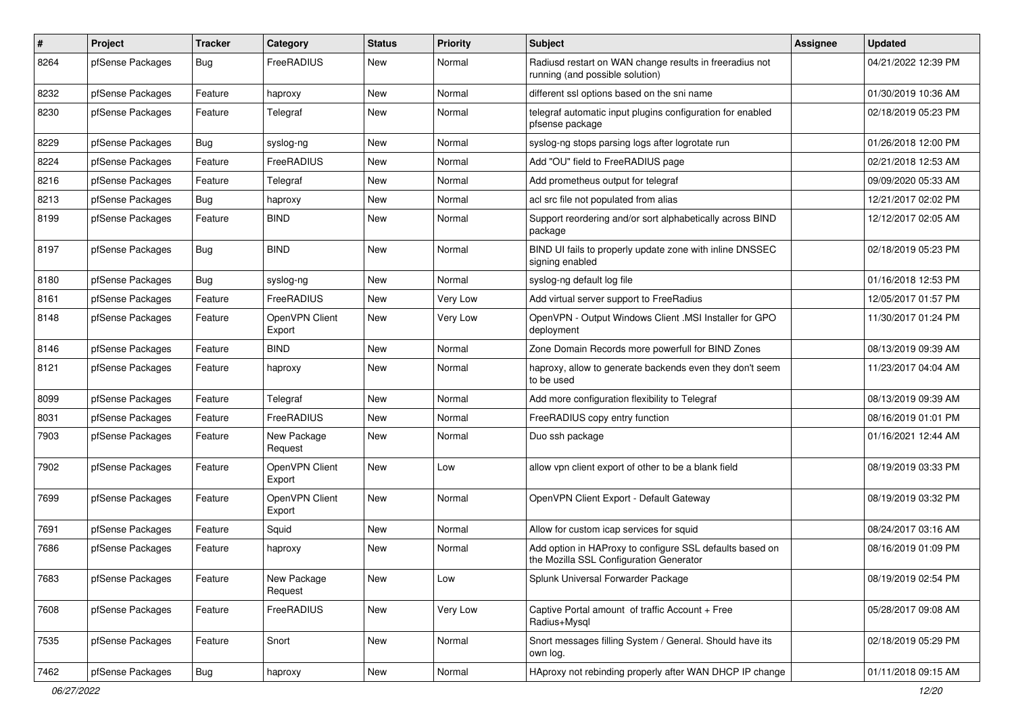| $\pmb{\#}$ | Project          | <b>Tracker</b> | Category                 | <b>Status</b> | Priority | <b>Subject</b>                                                                                      | <b>Assignee</b> | <b>Updated</b>      |
|------------|------------------|----------------|--------------------------|---------------|----------|-----------------------------------------------------------------------------------------------------|-----------------|---------------------|
| 8264       | pfSense Packages | <b>Bug</b>     | FreeRADIUS               | New           | Normal   | Radiusd restart on WAN change results in freeradius not<br>running (and possible solution)          |                 | 04/21/2022 12:39 PM |
| 8232       | pfSense Packages | Feature        | haproxy                  | New           | Normal   | different ssl options based on the sni name                                                         |                 | 01/30/2019 10:36 AM |
| 8230       | pfSense Packages | Feature        | Telegraf                 | New           | Normal   | telegraf automatic input plugins configuration for enabled<br>pfsense package                       |                 | 02/18/2019 05:23 PM |
| 8229       | pfSense Packages | <b>Bug</b>     | syslog-ng                | New           | Normal   | syslog-ng stops parsing logs after logrotate run                                                    |                 | 01/26/2018 12:00 PM |
| 8224       | pfSense Packages | Feature        | FreeRADIUS               | New           | Normal   | Add "OU" field to FreeRADIUS page                                                                   |                 | 02/21/2018 12:53 AM |
| 8216       | pfSense Packages | Feature        | Telegraf                 | New           | Normal   | Add prometheus output for telegraf                                                                  |                 | 09/09/2020 05:33 AM |
| 8213       | pfSense Packages | <b>Bug</b>     | haproxy                  | New           | Normal   | acl src file not populated from alias                                                               |                 | 12/21/2017 02:02 PM |
| 8199       | pfSense Packages | Feature        | <b>BIND</b>              | <b>New</b>    | Normal   | Support reordering and/or sort alphabetically across BIND<br>package                                |                 | 12/12/2017 02:05 AM |
| 8197       | pfSense Packages | <b>Bug</b>     | <b>BIND</b>              | <b>New</b>    | Normal   | BIND UI fails to properly update zone with inline DNSSEC<br>signing enabled                         |                 | 02/18/2019 05:23 PM |
| 8180       | pfSense Packages | <b>Bug</b>     | syslog-ng                | New           | Normal   | syslog-ng default log file                                                                          |                 | 01/16/2018 12:53 PM |
| 8161       | pfSense Packages | Feature        | FreeRADIUS               | New           | Very Low | Add virtual server support to FreeRadius                                                            |                 | 12/05/2017 01:57 PM |
| 8148       | pfSense Packages | Feature        | OpenVPN Client<br>Export | New           | Very Low | OpenVPN - Output Windows Client .MSI Installer for GPO<br>deployment                                |                 | 11/30/2017 01:24 PM |
| 8146       | pfSense Packages | Feature        | <b>BIND</b>              | <b>New</b>    | Normal   | Zone Domain Records more powerfull for BIND Zones                                                   |                 | 08/13/2019 09:39 AM |
| 8121       | pfSense Packages | Feature        | haproxy                  | New           | Normal   | haproxy, allow to generate backends even they don't seem<br>to be used                              |                 | 11/23/2017 04:04 AM |
| 8099       | pfSense Packages | Feature        | Telegraf                 | New           | Normal   | Add more configuration flexibility to Telegraf                                                      |                 | 08/13/2019 09:39 AM |
| 8031       | pfSense Packages | Feature        | FreeRADIUS               | New           | Normal   | FreeRADIUS copy entry function                                                                      |                 | 08/16/2019 01:01 PM |
| 7903       | pfSense Packages | Feature        | New Package<br>Request   | New           | Normal   | Duo ssh package                                                                                     |                 | 01/16/2021 12:44 AM |
| 7902       | pfSense Packages | Feature        | OpenVPN Client<br>Export | <b>New</b>    | Low      | allow vpn client export of other to be a blank field                                                |                 | 08/19/2019 03:33 PM |
| 7699       | pfSense Packages | Feature        | OpenVPN Client<br>Export | <b>New</b>    | Normal   | OpenVPN Client Export - Default Gateway                                                             |                 | 08/19/2019 03:32 PM |
| 7691       | pfSense Packages | Feature        | Squid                    | <b>New</b>    | Normal   | Allow for custom icap services for squid                                                            |                 | 08/24/2017 03:16 AM |
| 7686       | pfSense Packages | Feature        | haproxy                  | New           | Normal   | Add option in HAProxy to configure SSL defaults based on<br>the Mozilla SSL Configuration Generator |                 | 08/16/2019 01:09 PM |
| 7683       | pfSense Packages | Feature        | New Package<br>Request   | New           | Low      | Splunk Universal Forwarder Package                                                                  |                 | 08/19/2019 02:54 PM |
| 7608       | pfSense Packages | Feature        | FreeRADIUS               | New           | Very Low | Captive Portal amount of traffic Account + Free<br>Radius+Mysql                                     |                 | 05/28/2017 09:08 AM |
| 7535       | pfSense Packages | Feature        | Snort                    | New           | Normal   | Snort messages filling System / General. Should have its<br>own log.                                |                 | 02/18/2019 05:29 PM |
| 7462       | pfSense Packages | <b>Bug</b>     | haproxy                  | New           | Normal   | HAproxy not rebinding properly after WAN DHCP IP change                                             |                 | 01/11/2018 09:15 AM |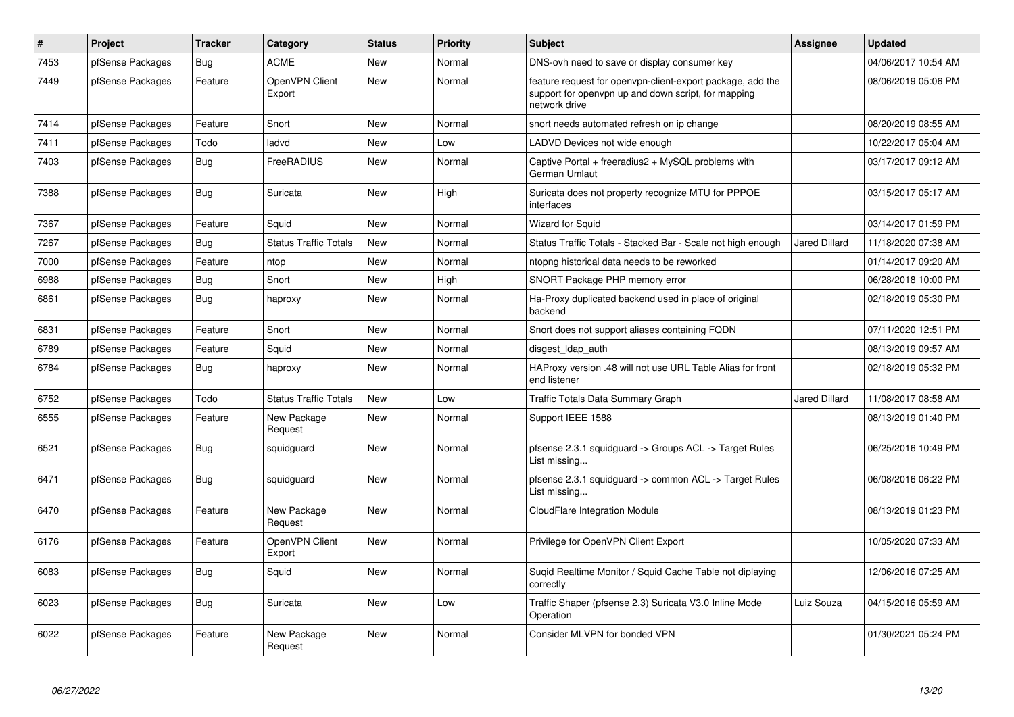| $\#$ | Project          | <b>Tracker</b> | Category                     | <b>Status</b> | <b>Priority</b> | <b>Subject</b>                                                                                                                     | <b>Assignee</b>      | <b>Updated</b>      |
|------|------------------|----------------|------------------------------|---------------|-----------------|------------------------------------------------------------------------------------------------------------------------------------|----------------------|---------------------|
| 7453 | pfSense Packages | Bug            | <b>ACME</b>                  | New           | Normal          | DNS-ovh need to save or display consumer key                                                                                       |                      | 04/06/2017 10:54 AM |
| 7449 | pfSense Packages | Feature        | OpenVPN Client<br>Export     | <b>New</b>    | Normal          | feature request for openypn-client-export package, add the<br>support for openvpn up and down script, for mapping<br>network drive |                      | 08/06/2019 05:06 PM |
| 7414 | pfSense Packages | Feature        | Snort                        | <b>New</b>    | Normal          | snort needs automated refresh on ip change                                                                                         |                      | 08/20/2019 08:55 AM |
| 7411 | pfSense Packages | Todo           | ladvd                        | <b>New</b>    | Low             | LADVD Devices not wide enough                                                                                                      |                      | 10/22/2017 05:04 AM |
| 7403 | pfSense Packages | <b>Bug</b>     | FreeRADIUS                   | <b>New</b>    | Normal          | Captive Portal + freeradius2 + MySQL problems with<br>German Umlaut                                                                |                      | 03/17/2017 09:12 AM |
| 7388 | pfSense Packages | Bug            | Suricata                     | <b>New</b>    | High            | Suricata does not property recognize MTU for PPPOE<br>interfaces                                                                   |                      | 03/15/2017 05:17 AM |
| 7367 | pfSense Packages | Feature        | Squid                        | New           | Normal          | <b>Wizard for Squid</b>                                                                                                            |                      | 03/14/2017 01:59 PM |
| 7267 | pfSense Packages | Bug            | <b>Status Traffic Totals</b> | New           | Normal          | Status Traffic Totals - Stacked Bar - Scale not high enough                                                                        | Jared Dillard        | 11/18/2020 07:38 AM |
| 7000 | pfSense Packages | Feature        | ntop                         | <b>New</b>    | Normal          | ntopng historical data needs to be reworked                                                                                        |                      | 01/14/2017 09:20 AM |
| 6988 | pfSense Packages | <b>Bug</b>     | Snort                        | <b>New</b>    | High            | SNORT Package PHP memory error                                                                                                     |                      | 06/28/2018 10:00 PM |
| 6861 | pfSense Packages | <b>Bug</b>     | haproxy                      | <b>New</b>    | Normal          | Ha-Proxy duplicated backend used in place of original<br>backend                                                                   |                      | 02/18/2019 05:30 PM |
| 6831 | pfSense Packages | Feature        | Snort                        | <b>New</b>    | Normal          | Snort does not support aliases containing FQDN                                                                                     |                      | 07/11/2020 12:51 PM |
| 6789 | pfSense Packages | Feature        | Squid                        | <b>New</b>    | Normal          | disgest_ldap_auth                                                                                                                  |                      | 08/13/2019 09:57 AM |
| 6784 | pfSense Packages | Bug            | haproxy                      | New           | Normal          | HAProxy version .48 will not use URL Table Alias for front<br>end listener                                                         |                      | 02/18/2019 05:32 PM |
| 6752 | pfSense Packages | Todo           | <b>Status Traffic Totals</b> | New           | Low             | Traffic Totals Data Summary Graph                                                                                                  | <b>Jared Dillard</b> | 11/08/2017 08:58 AM |
| 6555 | pfSense Packages | Feature        | New Package<br>Request       | <b>New</b>    | Normal          | Support IEEE 1588                                                                                                                  |                      | 08/13/2019 01:40 PM |
| 6521 | pfSense Packages | Bug            | squidguard                   | <b>New</b>    | Normal          | pfsense 2.3.1 squidguard -> Groups ACL -> Target Rules<br>List missing                                                             |                      | 06/25/2016 10:49 PM |
| 6471 | pfSense Packages | Bug            | squidguard                   | <b>New</b>    | Normal          | pfsense 2.3.1 squidguard -> common ACL -> Target Rules<br>List missing                                                             |                      | 06/08/2016 06:22 PM |
| 6470 | pfSense Packages | Feature        | New Package<br>Request       | <b>New</b>    | Normal          | CloudFlare Integration Module                                                                                                      |                      | 08/13/2019 01:23 PM |
| 6176 | pfSense Packages | Feature        | OpenVPN Client<br>Export     | New           | Normal          | Privilege for OpenVPN Client Export                                                                                                |                      | 10/05/2020 07:33 AM |
| 6083 | pfSense Packages | Bug            | Squid                        | New           | Normal          | Suqid Realtime Monitor / Squid Cache Table not diplaying<br>correctly                                                              |                      | 12/06/2016 07:25 AM |
| 6023 | pfSense Packages | Bug            | Suricata                     | New           | Low             | Traffic Shaper (pfsense 2.3) Suricata V3.0 Inline Mode<br>Operation                                                                | Luiz Souza           | 04/15/2016 05:59 AM |
| 6022 | pfSense Packages | Feature        | New Package<br>Request       | <b>New</b>    | Normal          | Consider MLVPN for bonded VPN                                                                                                      |                      | 01/30/2021 05:24 PM |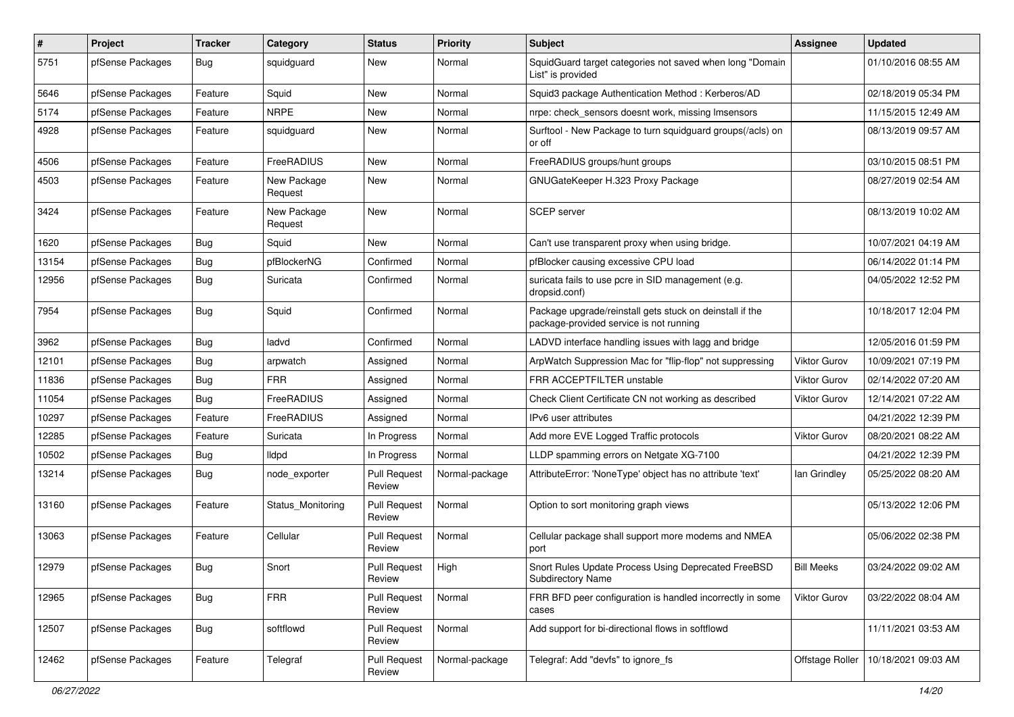| $\pmb{\#}$ | Project          | <b>Tracker</b> | Category               | <b>Status</b>                 | <b>Priority</b> | Subject                                                                                             | <b>Assignee</b>     | <b>Updated</b>      |
|------------|------------------|----------------|------------------------|-------------------------------|-----------------|-----------------------------------------------------------------------------------------------------|---------------------|---------------------|
| 5751       | pfSense Packages | <b>Bug</b>     | squidguard             | New                           | Normal          | SquidGuard target categories not saved when long "Domain<br>List" is provided                       |                     | 01/10/2016 08:55 AM |
| 5646       | pfSense Packages | Feature        | Squid                  | New                           | Normal          | Squid3 package Authentication Method: Kerberos/AD                                                   |                     | 02/18/2019 05:34 PM |
| 5174       | pfSense Packages | Feature        | <b>NRPE</b>            | New                           | Normal          | nrpe: check sensors doesnt work, missing Imsensors                                                  |                     | 11/15/2015 12:49 AM |
| 4928       | pfSense Packages | Feature        | squidguard             | New                           | Normal          | Surftool - New Package to turn squidguard groups(/acls) on<br>or off                                |                     | 08/13/2019 09:57 AM |
| 4506       | pfSense Packages | Feature        | FreeRADIUS             | New                           | Normal          | FreeRADIUS groups/hunt groups                                                                       |                     | 03/10/2015 08:51 PM |
| 4503       | pfSense Packages | Feature        | New Package<br>Request | New                           | Normal          | GNUGateKeeper H.323 Proxy Package                                                                   |                     | 08/27/2019 02:54 AM |
| 3424       | pfSense Packages | Feature        | New Package<br>Request | New                           | Normal          | <b>SCEP</b> server                                                                                  |                     | 08/13/2019 10:02 AM |
| 1620       | pfSense Packages | <b>Bug</b>     | Squid                  | <b>New</b>                    | Normal          | Can't use transparent proxy when using bridge.                                                      |                     | 10/07/2021 04:19 AM |
| 13154      | pfSense Packages | Bug            | pfBlockerNG            | Confirmed                     | Normal          | pfBlocker causing excessive CPU load                                                                |                     | 06/14/2022 01:14 PM |
| 12956      | pfSense Packages | <b>Bug</b>     | Suricata               | Confirmed                     | Normal          | suricata fails to use pcre in SID management (e.g.<br>dropsid.conf)                                 |                     | 04/05/2022 12:52 PM |
| 7954       | pfSense Packages | Bug            | Squid                  | Confirmed                     | Normal          | Package upgrade/reinstall gets stuck on deinstall if the<br>package-provided service is not running |                     | 10/18/2017 12:04 PM |
| 3962       | pfSense Packages | Bug            | ladvd                  | Confirmed                     | Normal          | LADVD interface handling issues with lagg and bridge                                                |                     | 12/05/2016 01:59 PM |
| 12101      | pfSense Packages | <b>Bug</b>     | arpwatch               | Assigned                      | Normal          | ArpWatch Suppression Mac for "flip-flop" not suppressing                                            | Viktor Gurov        | 10/09/2021 07:19 PM |
| 11836      | pfSense Packages | <b>Bug</b>     | <b>FRR</b>             | Assigned                      | Normal          | FRR ACCEPTFILTER unstable                                                                           | <b>Viktor Gurov</b> | 02/14/2022 07:20 AM |
| 11054      | pfSense Packages | Bug            | FreeRADIUS             | Assigned                      | Normal          | Check Client Certificate CN not working as described                                                | Viktor Gurov        | 12/14/2021 07:22 AM |
| 10297      | pfSense Packages | Feature        | FreeRADIUS             | Assigned                      | Normal          | IPv6 user attributes                                                                                |                     | 04/21/2022 12:39 PM |
| 12285      | pfSense Packages | Feature        | Suricata               | In Progress                   | Normal          | Add more EVE Logged Traffic protocols                                                               | <b>Viktor Gurov</b> | 08/20/2021 08:22 AM |
| 10502      | pfSense Packages | <b>Bug</b>     | <b>Ildpd</b>           | In Progress                   | Normal          | LLDP spamming errors on Netgate XG-7100                                                             |                     | 04/21/2022 12:39 PM |
| 13214      | pfSense Packages | <b>Bug</b>     | node_exporter          | <b>Pull Request</b><br>Review | Normal-package  | AttributeError: 'NoneType' object has no attribute 'text'                                           | lan Grindley        | 05/25/2022 08:20 AM |
| 13160      | pfSense Packages | Feature        | Status Monitoring      | <b>Pull Request</b><br>Review | Normal          | Option to sort monitoring graph views                                                               |                     | 05/13/2022 12:06 PM |
| 13063      | pfSense Packages | Feature        | Cellular               | <b>Pull Request</b><br>Review | Normal          | Cellular package shall support more modems and NMEA<br>port                                         |                     | 05/06/2022 02:38 PM |
| 12979      | pfSense Packages | Bug            | Snort                  | <b>Pull Request</b><br>Review | High            | Snort Rules Update Process Using Deprecated FreeBSD<br><b>Subdirectory Name</b>                     | <b>Bill Meeks</b>   | 03/24/2022 09:02 AM |
| 12965      | pfSense Packages | Bug            | <b>FRR</b>             | <b>Pull Request</b><br>Review | Normal          | FRR BFD peer configuration is handled incorrectly in some<br>cases                                  | <b>Viktor Gurov</b> | 03/22/2022 08:04 AM |
| 12507      | pfSense Packages | Bug            | softflowd              | <b>Pull Request</b><br>Review | Normal          | Add support for bi-directional flows in softflowd                                                   |                     | 11/11/2021 03:53 AM |
| 12462      | pfSense Packages | Feature        | Telegraf               | Pull Request<br>Review        | Normal-package  | Telegraf: Add "devfs" to ignore_fs                                                                  | Offstage Roller     | 10/18/2021 09:03 AM |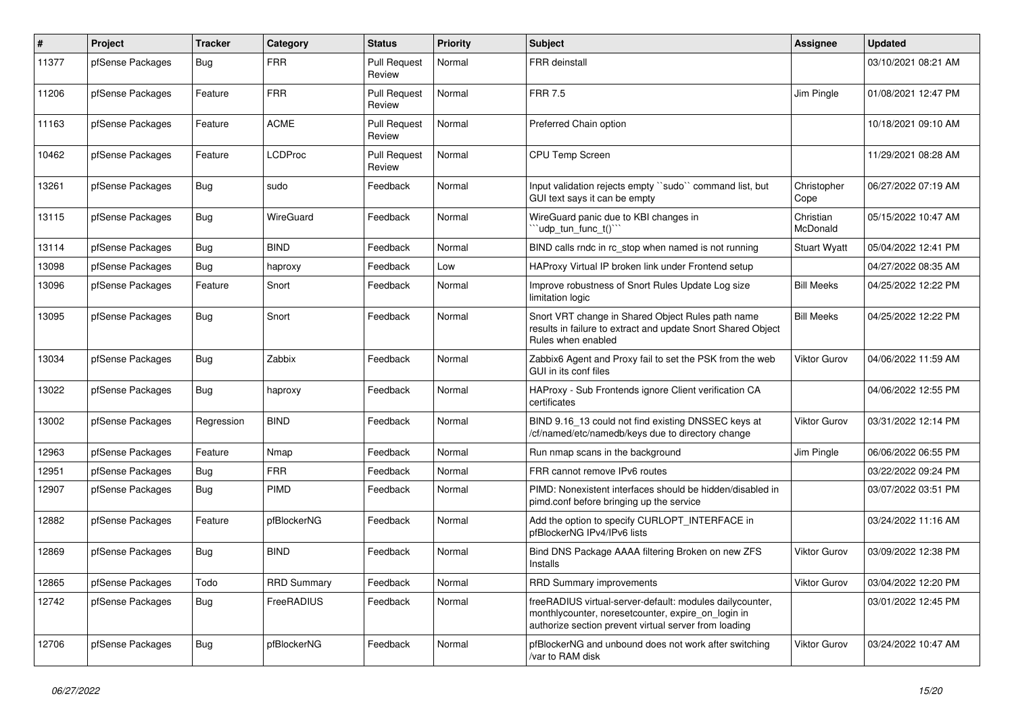| $\sharp$ | Project          | <b>Tracker</b> | Category           | <b>Status</b>                 | <b>Priority</b> | <b>Subject</b>                                                                                                                                                          | Assignee              | <b>Updated</b>      |
|----------|------------------|----------------|--------------------|-------------------------------|-----------------|-------------------------------------------------------------------------------------------------------------------------------------------------------------------------|-----------------------|---------------------|
| 11377    | pfSense Packages | Bug            | <b>FRR</b>         | <b>Pull Request</b><br>Review | Normal          | <b>FRR</b> deinstall                                                                                                                                                    |                       | 03/10/2021 08:21 AM |
| 11206    | pfSense Packages | Feature        | <b>FRR</b>         | <b>Pull Request</b><br>Review | Normal          | <b>FRR 7.5</b>                                                                                                                                                          | Jim Pingle            | 01/08/2021 12:47 PM |
| 11163    | pfSense Packages | Feature        | <b>ACME</b>        | <b>Pull Request</b><br>Review | Normal          | Preferred Chain option                                                                                                                                                  |                       | 10/18/2021 09:10 AM |
| 10462    | pfSense Packages | Feature        | <b>LCDProc</b>     | <b>Pull Request</b><br>Review | Normal          | <b>CPU Temp Screen</b>                                                                                                                                                  |                       | 11/29/2021 08:28 AM |
| 13261    | pfSense Packages | Bug            | sudo               | Feedback                      | Normal          | Input validation rejects empty "sudo" command list, but<br>GUI text says it can be empty                                                                                | Christopher<br>Cope   | 06/27/2022 07:19 AM |
| 13115    | pfSense Packages | Bug            | WireGuard          | Feedback                      | Normal          | WireGuard panic due to KBI changes in<br>"udp tun func $t()$ "                                                                                                          | Christian<br>McDonald | 05/15/2022 10:47 AM |
| 13114    | pfSense Packages | Bug            | <b>BIND</b>        | Feedback                      | Normal          | BIND calls rndc in rc stop when named is not running                                                                                                                    | <b>Stuart Wyatt</b>   | 05/04/2022 12:41 PM |
| 13098    | pfSense Packages | Bug            | haproxy            | Feedback                      | Low             | HAProxy Virtual IP broken link under Frontend setup                                                                                                                     |                       | 04/27/2022 08:35 AM |
| 13096    | pfSense Packages | Feature        | Snort              | Feedback                      | Normal          | Improve robustness of Snort Rules Update Log size<br>limitation logic                                                                                                   | <b>Bill Meeks</b>     | 04/25/2022 12:22 PM |
| 13095    | pfSense Packages | Bug            | Snort              | Feedback                      | Normal          | Snort VRT change in Shared Object Rules path name<br>results in failure to extract and update Snort Shared Object<br>Rules when enabled                                 | <b>Bill Meeks</b>     | 04/25/2022 12:22 PM |
| 13034    | pfSense Packages | <b>Bug</b>     | Zabbix             | Feedback                      | Normal          | Zabbix6 Agent and Proxy fail to set the PSK from the web<br>GUI in its conf files                                                                                       | <b>Viktor Gurov</b>   | 04/06/2022 11:59 AM |
| 13022    | pfSense Packages | <b>Bug</b>     | haproxy            | Feedback                      | Normal          | HAProxy - Sub Frontends ignore Client verification CA<br>certificates                                                                                                   |                       | 04/06/2022 12:55 PM |
| 13002    | pfSense Packages | Regression     | <b>BIND</b>        | Feedback                      | Normal          | BIND 9.16 13 could not find existing DNSSEC keys at<br>/cf/named/etc/namedb/keys due to directory change                                                                | <b>Viktor Gurov</b>   | 03/31/2022 12:14 PM |
| 12963    | pfSense Packages | Feature        | Nmap               | Feedback                      | Normal          | Run nmap scans in the background                                                                                                                                        | Jim Pingle            | 06/06/2022 06:55 PM |
| 12951    | pfSense Packages | Bug            | <b>FRR</b>         | Feedback                      | Normal          | FRR cannot remove IPv6 routes                                                                                                                                           |                       | 03/22/2022 09:24 PM |
| 12907    | pfSense Packages | Bug            | <b>PIMD</b>        | Feedback                      | Normal          | PIMD: Nonexistent interfaces should be hidden/disabled in<br>pimd.conf before bringing up the service                                                                   |                       | 03/07/2022 03:51 PM |
| 12882    | pfSense Packages | Feature        | pfBlockerNG        | Feedback                      | Normal          | Add the option to specify CURLOPT INTERFACE in<br>pfBlockerNG IPv4/IPv6 lists                                                                                           |                       | 03/24/2022 11:16 AM |
| 12869    | pfSense Packages | Bug            | <b>BIND</b>        | Feedback                      | Normal          | Bind DNS Package AAAA filtering Broken on new ZFS<br>Installs                                                                                                           | <b>Viktor Gurov</b>   | 03/09/2022 12:38 PM |
| 12865    | pfSense Packages | Todo           | <b>RRD Summary</b> | Feedback                      | Normal          | <b>RRD Summary improvements</b>                                                                                                                                         | <b>Viktor Gurov</b>   | 03/04/2022 12:20 PM |
| 12742    | pfSense Packages | Bug            | FreeRADIUS         | Feedback                      | Normal          | freeRADIUS virtual-server-default: modules dailycounter,<br>monthlycounter, noresetcounter, expire on login in<br>authorize section prevent virtual server from loading |                       | 03/01/2022 12:45 PM |
| 12706    | pfSense Packages | Bug            | pfBlockerNG        | Feedback                      | Normal          | pfBlockerNG and unbound does not work after switching<br>/var to RAM disk                                                                                               | <b>Viktor Gurov</b>   | 03/24/2022 10:47 AM |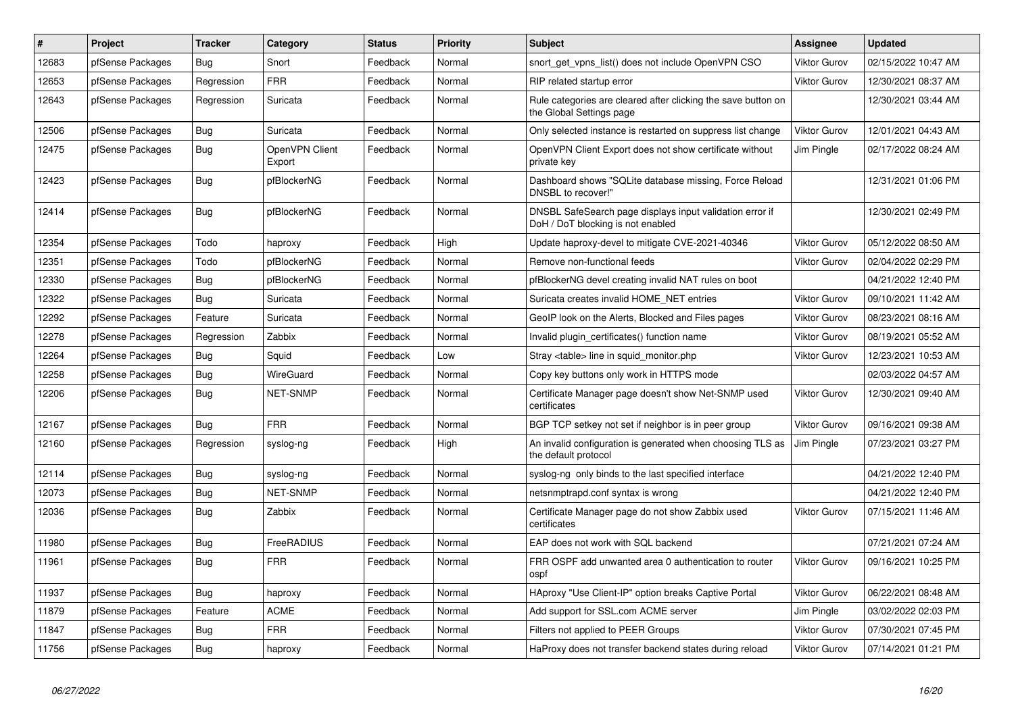| #     | Project          | <b>Tracker</b> | Category                 | <b>Status</b> | Priority | <b>Subject</b>                                                                                | <b>Assignee</b>     | <b>Updated</b>      |
|-------|------------------|----------------|--------------------------|---------------|----------|-----------------------------------------------------------------------------------------------|---------------------|---------------------|
| 12683 | pfSense Packages | Bug            | Snort                    | Feedback      | Normal   | snort_get_vpns_list() does not include OpenVPN CSO                                            | <b>Viktor Gurov</b> | 02/15/2022 10:47 AM |
| 12653 | pfSense Packages | Regression     | <b>FRR</b>               | Feedback      | Normal   | RIP related startup error                                                                     | <b>Viktor Gurov</b> | 12/30/2021 08:37 AM |
| 12643 | pfSense Packages | Regression     | Suricata                 | Feedback      | Normal   | Rule categories are cleared after clicking the save button on<br>the Global Settings page     |                     | 12/30/2021 03:44 AM |
| 12506 | pfSense Packages | Bug            | Suricata                 | Feedback      | Normal   | Only selected instance is restarted on suppress list change                                   | <b>Viktor Gurov</b> | 12/01/2021 04:43 AM |
| 12475 | pfSense Packages | <b>Bug</b>     | OpenVPN Client<br>Export | Feedback      | Normal   | OpenVPN Client Export does not show certificate without<br>private key                        | Jim Pingle          | 02/17/2022 08:24 AM |
| 12423 | pfSense Packages | Bug            | pfBlockerNG              | Feedback      | Normal   | Dashboard shows "SQLite database missing, Force Reload<br>DNSBL to recover!"                  |                     | 12/31/2021 01:06 PM |
| 12414 | pfSense Packages | <b>Bug</b>     | pfBlockerNG              | Feedback      | Normal   | DNSBL SafeSearch page displays input validation error if<br>DoH / DoT blocking is not enabled |                     | 12/30/2021 02:49 PM |
| 12354 | pfSense Packages | Todo           | haproxy                  | Feedback      | High     | Update haproxy-devel to mitigate CVE-2021-40346                                               | <b>Viktor Gurov</b> | 05/12/2022 08:50 AM |
| 12351 | pfSense Packages | Todo           | pfBlockerNG              | Feedback      | Normal   | Remove non-functional feeds                                                                   | <b>Viktor Gurov</b> | 02/04/2022 02:29 PM |
| 12330 | pfSense Packages | <b>Bug</b>     | pfBlockerNG              | Feedback      | Normal   | pfBlockerNG devel creating invalid NAT rules on boot                                          |                     | 04/21/2022 12:40 PM |
| 12322 | pfSense Packages | <b>Bug</b>     | Suricata                 | Feedback      | Normal   | Suricata creates invalid HOME_NET entries                                                     | <b>Viktor Gurov</b> | 09/10/2021 11:42 AM |
| 12292 | pfSense Packages | Feature        | Suricata                 | Feedback      | Normal   | GeoIP look on the Alerts, Blocked and Files pages                                             | Viktor Gurov        | 08/23/2021 08:16 AM |
| 12278 | pfSense Packages | Regression     | Zabbix                   | Feedback      | Normal   | Invalid plugin certificates() function name                                                   | <b>Viktor Gurov</b> | 08/19/2021 05:52 AM |
| 12264 | pfSense Packages | <b>Bug</b>     | Squid                    | Feedback      | Low      | Stray <table> line in squid_monitor.php</table>                                               | <b>Viktor Gurov</b> | 12/23/2021 10:53 AM |
| 12258 | pfSense Packages | Bug            | <b>WireGuard</b>         | Feedback      | Normal   | Copy key buttons only work in HTTPS mode                                                      |                     | 02/03/2022 04:57 AM |
| 12206 | pfSense Packages | Bug            | <b>NET-SNMP</b>          | Feedback      | Normal   | Certificate Manager page doesn't show Net-SNMP used<br>certificates                           | Viktor Gurov        | 12/30/2021 09:40 AM |
| 12167 | pfSense Packages | <b>Bug</b>     | <b>FRR</b>               | Feedback      | Normal   | BGP TCP setkey not set if neighbor is in peer group                                           | <b>Viktor Gurov</b> | 09/16/2021 09:38 AM |
| 12160 | pfSense Packages | Regression     | syslog-ng                | Feedback      | High     | An invalid configuration is generated when choosing TLS as<br>the default protocol            | Jim Pingle          | 07/23/2021 03:27 PM |
| 12114 | pfSense Packages | <b>Bug</b>     | syslog-ng                | Feedback      | Normal   | syslog-ng only binds to the last specified interface                                          |                     | 04/21/2022 12:40 PM |
| 12073 | pfSense Packages | Bug            | <b>NET-SNMP</b>          | Feedback      | Normal   | netsnmptrapd.conf syntax is wrong                                                             |                     | 04/21/2022 12:40 PM |
| 12036 | pfSense Packages | Bug            | Zabbix                   | Feedback      | Normal   | Certificate Manager page do not show Zabbix used<br>certificates                              | <b>Viktor Gurov</b> | 07/15/2021 11:46 AM |
| 11980 | pfSense Packages | Bug            | FreeRADIUS               | Feedback      | Normal   | EAP does not work with SQL backend                                                            |                     | 07/21/2021 07:24 AM |
| 11961 | pfSense Packages | <b>Bug</b>     | <b>FRR</b>               | Feedback      | Normal   | FRR OSPF add unwanted area 0 authentication to router<br>ospf                                 | <b>Viktor Gurov</b> | 09/16/2021 10:25 PM |
| 11937 | pfSense Packages | Bug            | haproxy                  | Feedback      | Normal   | HAproxy "Use Client-IP" option breaks Captive Portal                                          | <b>Viktor Gurov</b> | 06/22/2021 08:48 AM |
| 11879 | pfSense Packages | Feature        | <b>ACME</b>              | Feedback      | Normal   | Add support for SSL.com ACME server                                                           | Jim Pingle          | 03/02/2022 02:03 PM |
| 11847 | pfSense Packages | Bug            | <b>FRR</b>               | Feedback      | Normal   | Filters not applied to PEER Groups                                                            | <b>Viktor Gurov</b> | 07/30/2021 07:45 PM |
| 11756 | pfSense Packages | Bug            | haproxy                  | Feedback      | Normal   | HaProxy does not transfer backend states during reload                                        | <b>Viktor Gurov</b> | 07/14/2021 01:21 PM |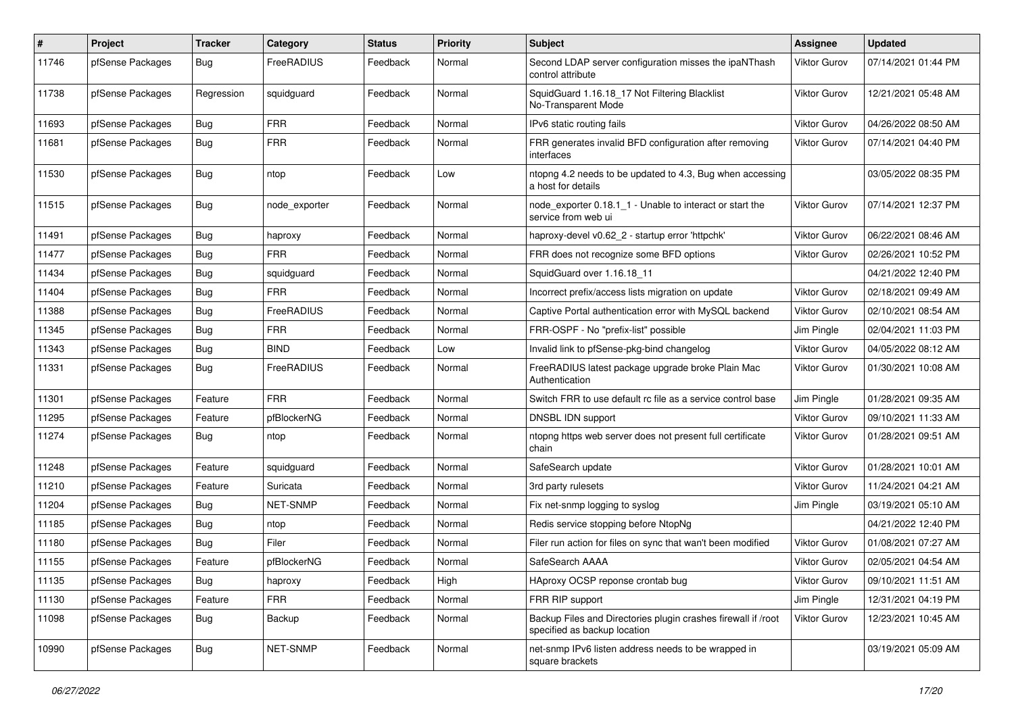| #     | Project          | <b>Tracker</b> | Category      | <b>Status</b> | <b>Priority</b> | <b>Subject</b>                                                                                | <b>Assignee</b>     | <b>Updated</b>      |
|-------|------------------|----------------|---------------|---------------|-----------------|-----------------------------------------------------------------------------------------------|---------------------|---------------------|
| 11746 | pfSense Packages | Bug            | FreeRADIUS    | Feedback      | Normal          | Second LDAP server configuration misses the ipaNThash<br>control attribute                    | <b>Viktor Gurov</b> | 07/14/2021 01:44 PM |
| 11738 | pfSense Packages | Regression     | squidguard    | Feedback      | Normal          | SquidGuard 1.16.18_17 Not Filtering Blacklist<br>No-Transparent Mode                          | <b>Viktor Gurov</b> | 12/21/2021 05:48 AM |
| 11693 | pfSense Packages | Bug            | <b>FRR</b>    | Feedback      | Normal          | IPv6 static routing fails                                                                     | Viktor Gurov        | 04/26/2022 08:50 AM |
| 11681 | pfSense Packages | <b>Bug</b>     | <b>FRR</b>    | Feedback      | Normal          | FRR generates invalid BFD configuration after removing<br>interfaces                          | <b>Viktor Gurov</b> | 07/14/2021 04:40 PM |
| 11530 | pfSense Packages | Bug            | ntop          | Feedback      | Low             | ntopng 4.2 needs to be updated to 4.3, Bug when accessing<br>a host for details               |                     | 03/05/2022 08:35 PM |
| 11515 | pfSense Packages | <b>Bug</b>     | node exporter | Feedback      | Normal          | node exporter 0.18.1 1 - Unable to interact or start the<br>service from web ui               | <b>Viktor Gurov</b> | 07/14/2021 12:37 PM |
| 11491 | pfSense Packages | <b>Bug</b>     | haproxy       | Feedback      | Normal          | haproxy-devel v0.62 2 - startup error 'httpchk'                                               | <b>Viktor Gurov</b> | 06/22/2021 08:46 AM |
| 11477 | pfSense Packages | Bug            | <b>FRR</b>    | Feedback      | Normal          | FRR does not recognize some BFD options                                                       | Viktor Gurov        | 02/26/2021 10:52 PM |
| 11434 | pfSense Packages | <b>Bug</b>     | squidguard    | Feedback      | Normal          | SquidGuard over 1.16.18 11                                                                    |                     | 04/21/2022 12:40 PM |
| 11404 | pfSense Packages | Bug            | <b>FRR</b>    | Feedback      | Normal          | Incorrect prefix/access lists migration on update                                             | <b>Viktor Gurov</b> | 02/18/2021 09:49 AM |
| 11388 | pfSense Packages | <b>Bug</b>     | FreeRADIUS    | Feedback      | Normal          | Captive Portal authentication error with MySQL backend                                        | <b>Viktor Gurov</b> | 02/10/2021 08:54 AM |
| 11345 | pfSense Packages | <b>Bug</b>     | <b>FRR</b>    | Feedback      | Normal          | FRR-OSPF - No "prefix-list" possible                                                          | Jim Pingle          | 02/04/2021 11:03 PM |
| 11343 | pfSense Packages | Bug            | <b>BIND</b>   | Feedback      | Low             | Invalid link to pfSense-pkg-bind changelog                                                    | <b>Viktor Gurov</b> | 04/05/2022 08:12 AM |
| 11331 | pfSense Packages | <b>Bug</b>     | FreeRADIUS    | Feedback      | Normal          | FreeRADIUS latest package upgrade broke Plain Mac<br>Authentication                           | Viktor Gurov        | 01/30/2021 10:08 AM |
| 11301 | pfSense Packages | Feature        | <b>FRR</b>    | Feedback      | Normal          | Switch FRR to use default rc file as a service control base                                   | Jim Pingle          | 01/28/2021 09:35 AM |
| 11295 | pfSense Packages | Feature        | pfBlockerNG   | Feedback      | Normal          | DNSBL IDN support                                                                             | <b>Viktor Gurov</b> | 09/10/2021 11:33 AM |
| 11274 | pfSense Packages | <b>Bug</b>     | ntop          | Feedback      | Normal          | ntopng https web server does not present full certificate<br>chain                            | <b>Viktor Gurov</b> | 01/28/2021 09:51 AM |
| 11248 | pfSense Packages | Feature        | squidguard    | Feedback      | Normal          | SafeSearch update                                                                             | Viktor Gurov        | 01/28/2021 10:01 AM |
| 11210 | pfSense Packages | Feature        | Suricata      | Feedback      | Normal          | 3rd party rulesets                                                                            | <b>Viktor Gurov</b> | 11/24/2021 04:21 AM |
| 11204 | pfSense Packages | <b>Bug</b>     | NET-SNMP      | Feedback      | Normal          | Fix net-snmp logging to syslog                                                                | Jim Pingle          | 03/19/2021 05:10 AM |
| 11185 | pfSense Packages | Bug            | ntop          | Feedback      | Normal          | Redis service stopping before NtopNg                                                          |                     | 04/21/2022 12:40 PM |
| 11180 | pfSense Packages | <b>Bug</b>     | Filer         | Feedback      | Normal          | Filer run action for files on sync that wan't been modified                                   | <b>Viktor Gurov</b> | 01/08/2021 07:27 AM |
| 11155 | pfSense Packages | Feature        | pfBlockerNG   | Feedback      | Normal          | SafeSearch AAAA                                                                               | Viktor Gurov        | 02/05/2021 04:54 AM |
| 11135 | pfSense Packages | <b>Bug</b>     | haproxy       | Feedback      | High            | HAproxy OCSP reponse crontab bug                                                              | Viktor Gurov        | 09/10/2021 11:51 AM |
| 11130 | pfSense Packages | Feature        | <b>FRR</b>    | Feedback      | Normal          | FRR RIP support                                                                               | Jim Pingle          | 12/31/2021 04:19 PM |
| 11098 | pfSense Packages | Bug            | Backup        | Feedback      | Normal          | Backup Files and Directories plugin crashes firewall if /root<br>specified as backup location | <b>Viktor Gurov</b> | 12/23/2021 10:45 AM |
| 10990 | pfSense Packages | Bug            | NET-SNMP      | Feedback      | Normal          | net-snmp IPv6 listen address needs to be wrapped in<br>square brackets                        |                     | 03/19/2021 05:09 AM |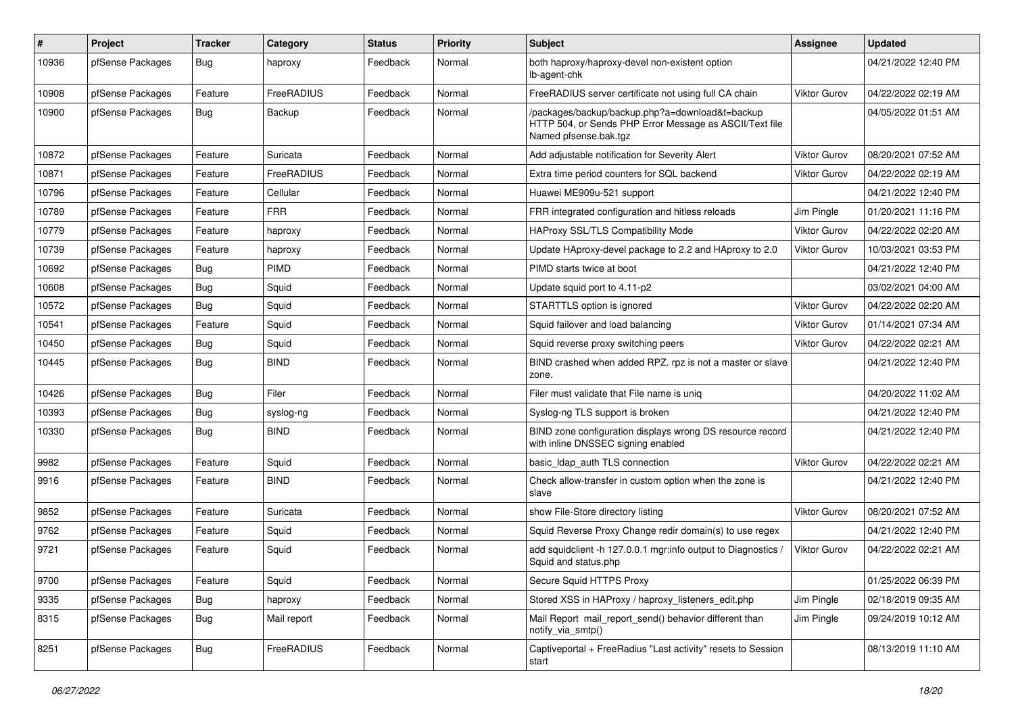| #     | Project          | <b>Tracker</b> | Category    | <b>Status</b> | <b>Priority</b> | <b>Subject</b>                                                                                                                      | Assignee            | <b>Updated</b>      |
|-------|------------------|----------------|-------------|---------------|-----------------|-------------------------------------------------------------------------------------------------------------------------------------|---------------------|---------------------|
| 10936 | pfSense Packages | <b>Bug</b>     | haproxy     | Feedback      | Normal          | both haproxy/haproxy-devel non-existent option<br>lb-agent-chk                                                                      |                     | 04/21/2022 12:40 PM |
| 10908 | pfSense Packages | Feature        | FreeRADIUS  | Feedback      | Normal          | FreeRADIUS server certificate not using full CA chain                                                                               | Viktor Gurov        | 04/22/2022 02:19 AM |
| 10900 | pfSense Packages | Bug            | Backup      | Feedback      | Normal          | /packages/backup/backup.php?a=download&t=backup<br>HTTP 504, or Sends PHP Error Message as ASCII/Text file<br>Named pfsense.bak.tgz |                     | 04/05/2022 01:51 AM |
| 10872 | pfSense Packages | Feature        | Suricata    | Feedback      | Normal          | Add adjustable notification for Severity Alert                                                                                      | Viktor Gurov        | 08/20/2021 07:52 AM |
| 10871 | pfSense Packages | Feature        | FreeRADIUS  | Feedback      | Normal          | Extra time period counters for SQL backend                                                                                          | Viktor Gurov        | 04/22/2022 02:19 AM |
| 10796 | pfSense Packages | Feature        | Cellular    | Feedback      | Normal          | Huawei ME909u-521 support                                                                                                           |                     | 04/21/2022 12:40 PM |
| 10789 | pfSense Packages | Feature        | <b>FRR</b>  | Feedback      | Normal          | FRR integrated configuration and hitless reloads                                                                                    | Jim Pingle          | 01/20/2021 11:16 PM |
| 10779 | pfSense Packages | Feature        | haproxy     | Feedback      | Normal          | HAProxy SSL/TLS Compatibility Mode                                                                                                  | Viktor Gurov        | 04/22/2022 02:20 AM |
| 10739 | pfSense Packages | Feature        | haproxy     | Feedback      | Normal          | Update HAproxy-devel package to 2.2 and HAproxy to 2.0                                                                              | Viktor Gurov        | 10/03/2021 03:53 PM |
| 10692 | pfSense Packages | <b>Bug</b>     | PIMD        | Feedback      | Normal          | PIMD starts twice at boot                                                                                                           |                     | 04/21/2022 12:40 PM |
| 10608 | pfSense Packages | <b>Bug</b>     | Squid       | Feedback      | Normal          | Update squid port to 4.11-p2                                                                                                        |                     | 03/02/2021 04:00 AM |
| 10572 | pfSense Packages | <b>Bug</b>     | Squid       | Feedback      | Normal          | STARTTLS option is ignored                                                                                                          | Viktor Gurov        | 04/22/2022 02:20 AM |
| 10541 | pfSense Packages | Feature        | Squid       | Feedback      | Normal          | Squid failover and load balancing                                                                                                   | Viktor Gurov        | 01/14/2021 07:34 AM |
| 10450 | pfSense Packages | <b>Bug</b>     | Squid       | Feedback      | Normal          | Squid reverse proxy switching peers                                                                                                 | <b>Viktor Gurov</b> | 04/22/2022 02:21 AM |
| 10445 | pfSense Packages | Bug            | <b>BIND</b> | Feedback      | Normal          | BIND crashed when added RPZ. rpz is not a master or slave<br>zone.                                                                  |                     | 04/21/2022 12:40 PM |
| 10426 | pfSense Packages | <b>Bug</b>     | Filer       | Feedback      | Normal          | Filer must validate that File name is uniq                                                                                          |                     | 04/20/2022 11:02 AM |
| 10393 | pfSense Packages | <b>Bug</b>     | syslog-ng   | Feedback      | Normal          | Syslog-ng TLS support is broken                                                                                                     |                     | 04/21/2022 12:40 PM |
| 10330 | pfSense Packages | <b>Bug</b>     | <b>BIND</b> | Feedback      | Normal          | BIND zone configuration displays wrong DS resource record<br>with inline DNSSEC signing enabled                                     |                     | 04/21/2022 12:40 PM |
| 9982  | pfSense Packages | Feature        | Squid       | Feedback      | Normal          | basic Idap auth TLS connection                                                                                                      | Viktor Gurov        | 04/22/2022 02:21 AM |
| 9916  | pfSense Packages | Feature        | <b>BIND</b> | Feedback      | Normal          | Check allow-transfer in custom option when the zone is<br>slave                                                                     |                     | 04/21/2022 12:40 PM |
| 9852  | pfSense Packages | Feature        | Suricata    | Feedback      | Normal          | show File-Store directory listing                                                                                                   | Viktor Gurov        | 08/20/2021 07:52 AM |
| 9762  | pfSense Packages | Feature        | Squid       | Feedback      | Normal          | Squid Reverse Proxy Change redir domain(s) to use regex                                                                             |                     | 04/21/2022 12:40 PM |
| 9721  | pfSense Packages | Feature        | Squid       | Feedback      | Normal          | add squidclient -h 127.0.0.1 mgr:info output to Diagnostics /<br>Squid and status.php                                               | Viktor Gurov        | 04/22/2022 02:21 AM |
| 9700  | pfSense Packages | Feature        | Squid       | Feedback      | Normal          | Secure Squid HTTPS Proxy                                                                                                            |                     | 01/25/2022 06:39 PM |
| 9335  | pfSense Packages | Bug            | haproxy     | Feedback      | Normal          | Stored XSS in HAProxy / haproxy_listeners_edit.php                                                                                  | Jim Pingle          | 02/18/2019 09:35 AM |
| 8315  | pfSense Packages | Bug            | Mail report | Feedback      | Normal          | Mail Report mail report send() behavior different than<br>notify_via_smtp()                                                         | Jim Pingle          | 09/24/2019 10:12 AM |
| 8251  | pfSense Packages | <b>Bug</b>     | FreeRADIUS  | Feedback      | Normal          | Captiveportal + FreeRadius "Last activity" resets to Session<br>start                                                               |                     | 08/13/2019 11:10 AM |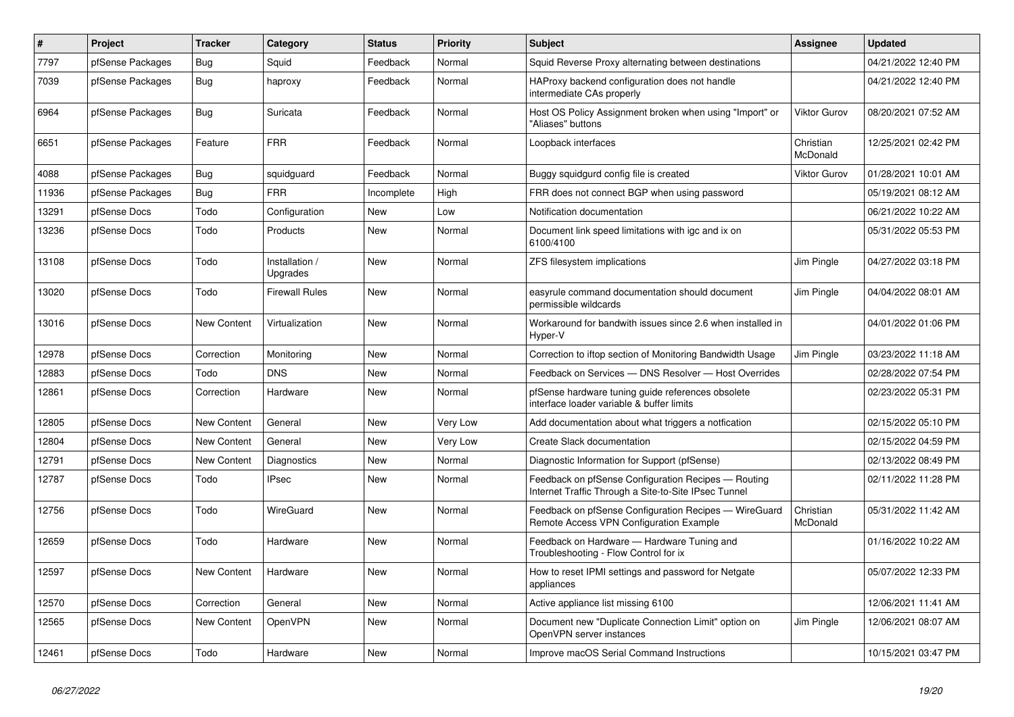| #     | Project          | <b>Tracker</b>     | Category                   | <b>Status</b> | <b>Priority</b> | <b>Subject</b>                                                                                              | <b>Assignee</b>       | <b>Updated</b>      |
|-------|------------------|--------------------|----------------------------|---------------|-----------------|-------------------------------------------------------------------------------------------------------------|-----------------------|---------------------|
| 7797  | pfSense Packages | Bug                | Squid                      | Feedback      | Normal          | Squid Reverse Proxy alternating between destinations                                                        |                       | 04/21/2022 12:40 PM |
| 7039  | pfSense Packages | <b>Bug</b>         | haproxy                    | Feedback      | Normal          | HAProxy backend configuration does not handle<br>intermediate CAs properly                                  |                       | 04/21/2022 12:40 PM |
| 6964  | pfSense Packages | Bug                | Suricata                   | Feedback      | Normal          | Host OS Policy Assignment broken when using "Import" or<br>"Aliases" buttons                                | <b>Viktor Gurov</b>   | 08/20/2021 07:52 AM |
| 6651  | pfSense Packages | Feature            | <b>FRR</b>                 | Feedback      | Normal          | Loopback interfaces                                                                                         | Christian<br>McDonald | 12/25/2021 02:42 PM |
| 4088  | pfSense Packages | <b>Bug</b>         | squidguard                 | Feedback      | Normal          | Buggy squidgurd config file is created                                                                      | <b>Viktor Gurov</b>   | 01/28/2021 10:01 AM |
| 11936 | pfSense Packages | <b>Bug</b>         | <b>FRR</b>                 | Incomplete    | High            | FRR does not connect BGP when using password                                                                |                       | 05/19/2021 08:12 AM |
| 13291 | pfSense Docs     | Todo               | Configuration              | New           | Low             | Notification documentation                                                                                  |                       | 06/21/2022 10:22 AM |
| 13236 | pfSense Docs     | Todo               | Products                   | <b>New</b>    | Normal          | Document link speed limitations with igc and ix on<br>6100/4100                                             |                       | 05/31/2022 05:53 PM |
| 13108 | pfSense Docs     | Todo               | Installation /<br>Upgrades | <b>New</b>    | Normal          | ZFS filesystem implications                                                                                 | Jim Pingle            | 04/27/2022 03:18 PM |
| 13020 | pfSense Docs     | Todo               | <b>Firewall Rules</b>      | <b>New</b>    | Normal          | easyrule command documentation should document<br>permissible wildcards                                     | Jim Pingle            | 04/04/2022 08:01 AM |
| 13016 | pfSense Docs     | <b>New Content</b> | Virtualization             | <b>New</b>    | Normal          | Workaround for bandwith issues since 2.6 when installed in<br>Hyper-V                                       |                       | 04/01/2022 01:06 PM |
| 12978 | pfSense Docs     | Correction         | Monitoring                 | New           | Normal          | Correction to iftop section of Monitoring Bandwidth Usage                                                   | Jim Pingle            | 03/23/2022 11:18 AM |
| 12883 | pfSense Docs     | Todo               | <b>DNS</b>                 | New           | Normal          | Feedback on Services - DNS Resolver - Host Overrides                                                        |                       | 02/28/2022 07:54 PM |
| 12861 | pfSense Docs     | Correction         | Hardware                   | New           | Normal          | pfSense hardware tuning guide references obsolete<br>interface loader variable & buffer limits              |                       | 02/23/2022 05:31 PM |
| 12805 | pfSense Docs     | <b>New Content</b> | General                    | <b>New</b>    | Very Low        | Add documentation about what triggers a notfication                                                         |                       | 02/15/2022 05:10 PM |
| 12804 | pfSense Docs     | <b>New Content</b> | General                    | <b>New</b>    | Very Low        | Create Slack documentation                                                                                  |                       | 02/15/2022 04:59 PM |
| 12791 | pfSense Docs     | <b>New Content</b> | Diagnostics                | <b>New</b>    | Normal          | Diagnostic Information for Support (pfSense)                                                                |                       | 02/13/2022 08:49 PM |
| 12787 | pfSense Docs     | Todo               | <b>IPsec</b>               | New           | Normal          | Feedback on pfSense Configuration Recipes - Routing<br>Internet Traffic Through a Site-to-Site IPsec Tunnel |                       | 02/11/2022 11:28 PM |
| 12756 | pfSense Docs     | Todo               | WireGuard                  | <b>New</b>    | Normal          | Feedback on pfSense Configuration Recipes - WireGuard<br>Remote Access VPN Configuration Example            | Christian<br>McDonald | 05/31/2022 11:42 AM |
| 12659 | pfSense Docs     | Todo               | Hardware                   | New           | Normal          | Feedback on Hardware - Hardware Tuning and<br>Troubleshooting - Flow Control for ix                         |                       | 01/16/2022 10:22 AM |
| 12597 | pfSense Docs     | New Content        | Hardware                   | New           | Normal          | How to reset IPMI settings and password for Netgate<br>appliances                                           |                       | 05/07/2022 12:33 PM |
| 12570 | pfSense Docs     | Correction         | General                    | <b>New</b>    | Normal          | Active appliance list missing 6100                                                                          |                       | 12/06/2021 11:41 AM |
| 12565 | pfSense Docs     | <b>New Content</b> | OpenVPN                    | New           | Normal          | Document new "Duplicate Connection Limit" option on<br>OpenVPN server instances                             | Jim Pingle            | 12/06/2021 08:07 AM |
| 12461 | pfSense Docs     | Todo               | Hardware                   | New           | Normal          | Improve macOS Serial Command Instructions                                                                   |                       | 10/15/2021 03:47 PM |